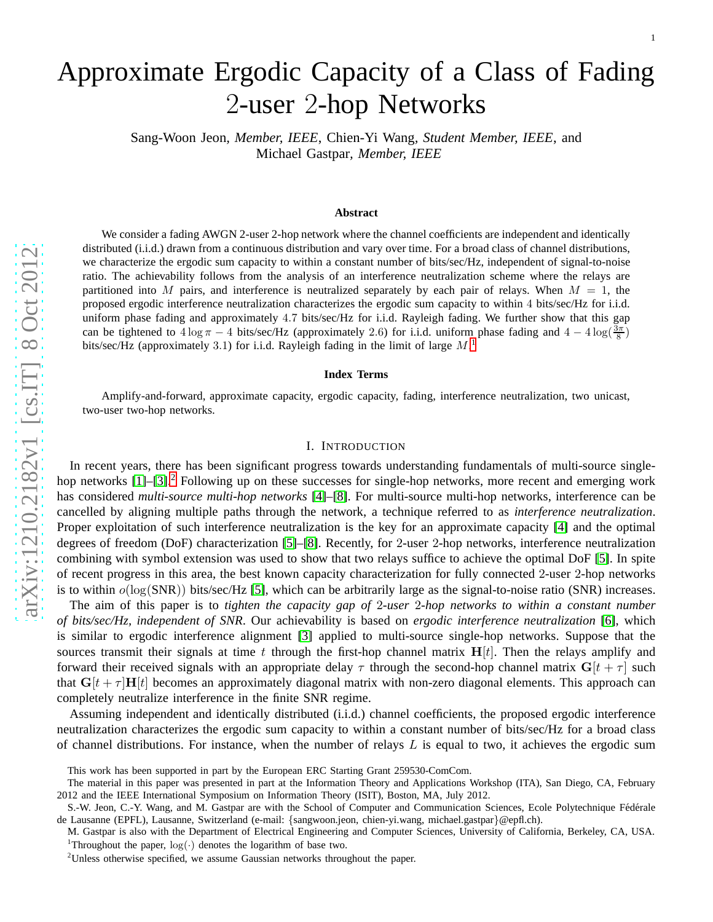# Approximate Ergodic Capacity of a Class of Fading<br>2-user 2-hop Networks

Sang-Woon Jeon*, Member, IEEE*, Chien-Yi Wang*, Student Member, IEEE*, and Michael Gastpar*, Member, IEEE*

#### **Abstract**

We consider a fading AWGN 2-user 2-hop network where the channel coefficients are independent and identically distributed (i.i.d.) drawn from a continuous distribution and vary over time. For a broad class of channel distributions, we characterize the ergodic sum capacity to within a constant number of bits/sec/Hz, independent of signal-to-noise ratio. The achievability follows from the analysis of an interference neutralization scheme where the relays are partitioned into M pairs, and interference is neutralized separately by each pair of relays. When  $M = 1$ , the proposed ergodic interference neutralization characterizes the ergodic sum capacity to within 4 bits/sec/Hz for i.i.d. uniform phase fading and approximately 4 . 7 bits/sec/Hz for i.i.d. Rayleigh fading. We further show that this gap can be tightened to  $4 \log \pi - 4$  bits/sec/Hz (approximately 2.6) for i.i.d. uniform phase fading and  $4 - 4 \log(\frac{3\pi}{8})$ bits/sec/Hz (approximately 3.[1](#page-0-0)) for i.i.d. Rayleigh fading in the limit of large  $M$ .<sup>1</sup>

#### **Index Terms**

Amplify-and-forward, approximate capacity, ergodic capacity, fading, interference neutralization, two unicast, two-user two-hop networks.

#### I. INTRODUCTION

In recent years, there has been significant progress towards understanding fundamentals of multi-source single-hop networks [\[1\]](#page-20-0)–[\[3\]](#page-20-1).<sup>[2](#page-0-1)</sup> Following up on these successes for single-hop networks, more recent and emerging work has considered *multi-source multi-hop networks* [\[4\]](#page-20-2)–[\[8\]](#page-21-0). For multi-source multi-hop networks, interference can be cancelled by aligning multiple paths through the network, a technique referred to as *interference neutralization* . Proper exploitation of such interference neutralization is the key for an approximate capacity [\[4\]](#page-20-2) and the optimal degrees of freedom (DoF) characterization [\[5\]](#page-20-3)–[\[8\]](#page-21-0). Recently, for 2-user 2-hop networks, interference neutralization combining with symbol extension was used to show that two relays suffice to achieve the optimal DoF [\[5\]](#page-20-3). In spite of recent progress in this area, the best known capacity characterization for fully connected 2-user 2-hop networks is to within  $o(log(SNR))$  bits/sec/Hz [\[5\]](#page-20-3), which can be arbitrarily large as the signal-to-noise ratio (SNR) increases.

The aim of this paper is to *tighten the capacity gap of* 2*-user* 2*-hop networks to within a constant number of bits/sec/Hz, independent of SNR*. Our achievability is based on *ergodic interference neutralization* [\[6\]](#page-21-1), which is similar to ergodic interference alignment [\[3\]](#page-20-1) applied to multi-source single-hop networks. Suppose that the sources transmit their signals at time t through the first-hop channel matrix  $H[t]$ . Then the relays amplify and forward their received signals with an appropriate delay  $\tau$  through the second-hop channel matrix  $G[t + \tau]$  such that  $G[t + \tau]H[t]$  becomes an approximately diagonal matrix with non-zero diagonal elements. This approach can completely neutralize interference in the finite SNR regime .

Assuming independent and identically distributed (i.i.d.) channel coefficients, the proposed ergodic interference neutralization characterizes the ergodic sum capacity to within a constant number of bits/sec/Hz for a broad class of channel distributions. For instance, when the number of relays  $L$  is equal to two, it achieves the ergodic sum

This work has been supported in part by the European ERC Starting Grant 259530-ComCom.

The material in this paper was presented in part at the Information Theory and Applications Workshop (ITA), San Diego, CA, February 2012 and the IEEE International Symposium on Information Theory (ISIT), Boston, MA, July 2012.

S.-W. Jeon, C.-Y. Wang, and M. Gastpar are with the School of Computer and Communication Sciences, Ecole Polytechnique Fédérale de Lausanne (EPFL), Lausanne, Switzerland (e-mail: {sangwoon.jeon, chien-yi.wang, michael.gastpar }@epfl.ch).

M. Gastpar is also with the Department of Electrical Engineering and Computer Sciences, University of California, Berkeley, CA, USA. <sup>1</sup>Throughout the paper,  $log(\cdot)$  denotes the logarithm of base two.<br><sup>2</sup>Unless otherwise specified, we assume Gaussian networks throughout the paper.

<span id="page-0-1"></span><span id="page-0-0"></span>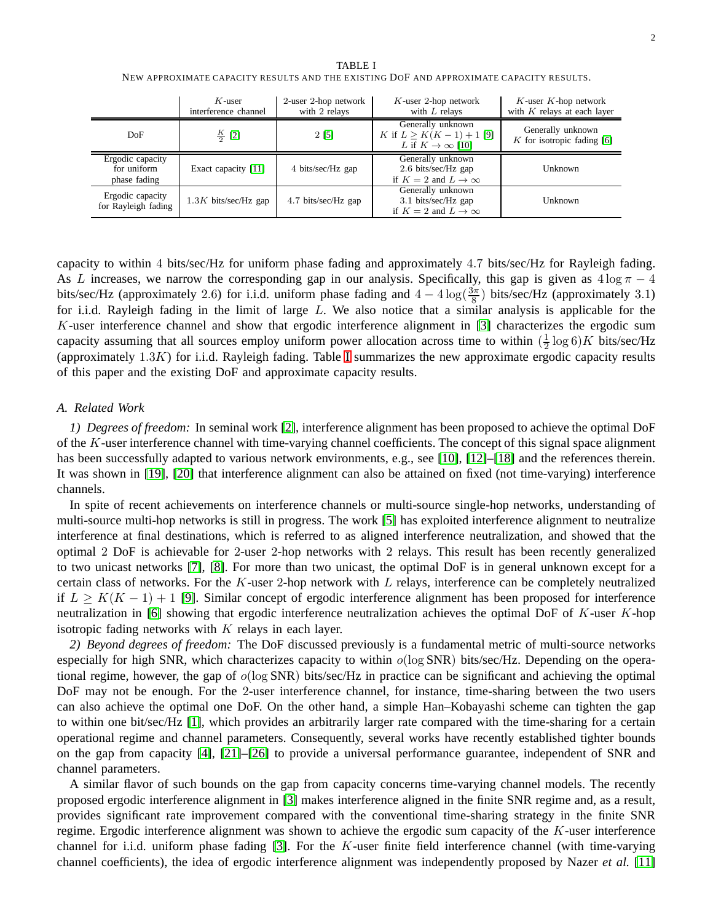<span id="page-1-0"></span>

|                                                 | $K$ -user<br>interference channel | 2-user 2-hop network<br>with 2 relays | $K$ -user 2-hop network<br>with $L$ relays                                        | $K$ -user $K$ -hop network<br>with $K$ relays at each layer |
|-------------------------------------------------|-----------------------------------|---------------------------------------|-----------------------------------------------------------------------------------|-------------------------------------------------------------|
| DoF                                             | $\frac{K}{2}$ [2]                 | 2 [5]                                 | Generally unknown<br>K if $L > K(K-1) + 1$ [9]<br>L if $K \to \infty$ [10]        | Generally unknown<br>$K$ for isotropic fading [6]           |
| Ergodic capacity<br>for uniform<br>phase fading | Exact capacity [11]               | 4 bits/sec/Hz gap                     | Generally unknown<br>2.6 bits/sec/Hz gap<br>if $K = 2$ and $L \rightarrow \infty$ | Unknown                                                     |
| Ergodic capacity<br>for Rayleigh fading         | $1.3K$ bits/sec/Hz gap            | 4.7 bits/sec/Hz gap                   | Generally unknown<br>3.1 bits/sec/Hz gap<br>if $K = 2$ and $L \rightarrow \infty$ | Unknown                                                     |

TABLE I NEW APPROXIMATE CAPACITY RESULTS AND THE EXISTING DOF AND APPROXIMATE CAPACITY RESULTS.

capacity to within 4 bits/sec/Hz for uniform phase fading and approximately 4.7 bits/sec/Hz for Rayleigh fading. As L increases, we narrow the corresponding gap in our analysis. Specifically, this gap is given as  $4 \log \pi - 4$ bits/sec/Hz (approximately 2.6) for i.i.d. uniform phase fading and  $4-4\log(\frac{3\pi}{8})$  bits/sec/Hz (approximately 3.1) for i.i.d. Rayleigh fading in the limit of large L. We also notice that a similar analysis is applicable for the K-user interference channel and show that ergodic interference alignment in [\[3\]](#page-20-1) characterizes the ergodic sum capacity assuming that all sources employ uniform power allocation across time to within  $(\frac{1}{2})$  $\frac{1}{2} \log 6$  K bits/sec/Hz (approximately  $1.3K$ ) for i.i.d. Rayleigh fading. Table [I](#page-1-0) summarizes the new approximate ergodic capacity results of this paper and the existing DoF and approximate capacity results.

#### *A. Related Work*

*1) Degrees of freedom:* In seminal work [\[2\]](#page-20-4), interference alignment has been proposed to achieve the optimal DoF of the K-user interference channel with time-varying channel coefficients. The concept of this signal space alignment has been successfully adapted to various network environments, e.g., see [\[10\]](#page-21-3), [\[12\]](#page-21-5)–[\[18\]](#page-21-6) and the references therein. It was shown in [\[19\]](#page-21-7), [\[20\]](#page-21-8) that interference alignment can also be attained on fixed (not time-varying) interference channels.

In spite of recent achievements on interference channels or multi-source single-hop networks, understanding of multi-source multi-hop networks is still in progress. The work [\[5\]](#page-20-3) has exploited interference alignment to neutralize interference at final destinations, which is referred to as aligned interference neutralization, and showed that the optimal 2 DoF is achievable for 2-user 2-hop networks with 2 relays. This result has been recently generalized to two unicast networks [\[7\]](#page-21-9), [\[8\]](#page-21-0). For more than two unicast, the optimal DoF is in general unknown except for a certain class of networks. For the  $K$ -user 2-hop network with  $L$  relays, interference can be completely neutralized if  $L \geq K(K-1) + 1$  [\[9\]](#page-21-2). Similar concept of ergodic interference alignment has been proposed for interference neutralization in [\[6\]](#page-21-1) showing that ergodic interference neutralization achieves the optimal DoF of  $K$ -user  $K$ -hop isotropic fading networks with  $K$  relays in each layer.

*2) Beyond degrees of freedom:* The DoF discussed previously is a fundamental metric of multi-source networks especially for high SNR, which characterizes capacity to within  $o(\log SNR)$  bits/sec/Hz. Depending on the operational regime, however, the gap of  $o(\log SNR)$  bits/sec/Hz in practice can be significant and achieving the optimal DoF may not be enough. For the 2-user interference channel, for instance, time-sharing between the two users can also achieve the optimal one DoF. On the other hand, a simple Han–Kobayashi scheme can tighten the gap to within one bit/sec/Hz [\[1\]](#page-20-0), which provides an arbitrarily larger rate compared with the time-sharing for a certain operational regime and channel parameters. Consequently, several works have recently established tighter bounds on the gap from capacity [\[4\]](#page-20-2), [\[21\]](#page-21-10)–[\[26\]](#page-21-11) to provide a universal performance guarantee, independent of SNR and channel parameters.

A similar flavor of such bounds on the gap from capacity concerns time-varying channel models. The recently proposed ergodic interference alignment in [\[3\]](#page-20-1) makes interference aligned in the finite SNR regime and, as a result, provides significant rate improvement compared with the conventional time-sharing strategy in the finite SNR regime. Ergodic interference alignment was shown to achieve the ergodic sum capacity of the K-user interference channel for i.i.d. uniform phase fading [\[3\]](#page-20-1). For the K-user finite field interference channel (with time-varying channel coefficients), the idea of ergodic interference alignment was independently proposed by Nazer *et al.* [\[11\]](#page-21-4)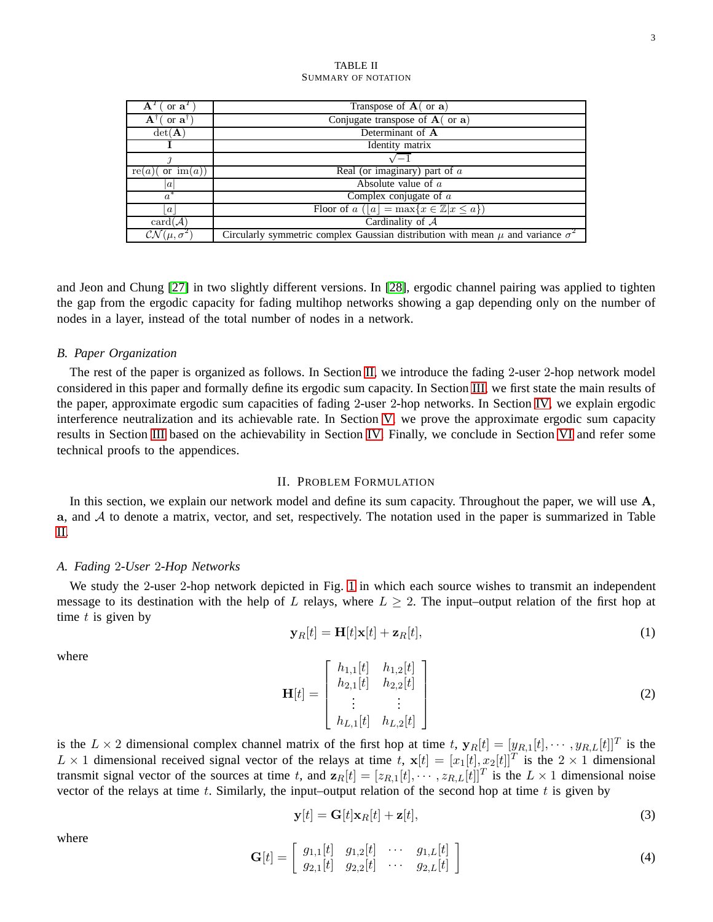<span id="page-2-1"></span>

| or $\mathbf{a}^T$<br>${\bf A}^T$   | Transpose of $A$ (or a)                                                                    |  |  |
|------------------------------------|--------------------------------------------------------------------------------------------|--|--|
| $\mathbf{A}$<br>or $a1$            | Conjugate transpose of $A$ (or $a$ )                                                       |  |  |
| $det(\mathbf{A})$                  | Determinant of A                                                                           |  |  |
|                                    | Identity matrix                                                                            |  |  |
|                                    | $\sqrt{-1}$                                                                                |  |  |
| or $\operatorname{im}(a)$<br>re(a) | Real (or imaginary) part of $a$                                                            |  |  |
| a                                  | Absolute value of $a$                                                                      |  |  |
| $a^*$                              | Complex conjugate of $a$                                                                   |  |  |
| $\boldsymbol{a}$                   | Floor of $a( a  = \max\{x \in \mathbb{Z} x \leq a\})$                                      |  |  |
| $card(\mathcal{A})$                | Cardinality of $A$                                                                         |  |  |
| $CN(\mu,\sigma^2)$                 | Circularly symmetric complex Gaussian distribution with mean $\mu$ and variance $\sigma^2$ |  |  |

TABLE II SUMMARY OF NOTATION

and Jeon and Chung [\[27\]](#page-21-12) in two slightly different versions. In [\[28\]](#page-21-13), ergodic channel pairing was applied to tighten the gap from the ergodic capacity for fading multihop networks showing a gap depending only on the number of nodes in a layer, instead of the total number of nodes in a network.

#### *B. Paper Organization*

The rest of the paper is organized as follows. In Section [II,](#page-2-0) we introduce the fading 2-user 2-hop network model considered in this paper and formally define its ergodic sum capacity. In Section [III,](#page-3-0) we first state the main results of the paper, approximate ergodic sum capacities of fading 2-user 2-hop networks. In Section [IV,](#page-8-0) we explain ergodic interference neutralization and its achievable rate. In Section [V,](#page-12-0) we prove the approximate ergodic sum capacity results in Section [III](#page-3-0) based on the achievability in Section [IV.](#page-8-0) Finally, we conclude in Section [VI](#page-17-0) and refer some technical proofs to the appendices.

# II. PROBLEM FORMULATION

<span id="page-2-0"></span>In this section, we explain our network model and define its sum capacity. Throughout the paper, we will use A, a, and  $A$  to denote a matrix, vector, and set, respectively. The notation used in the paper is summarized in Table [II.](#page-2-1)

#### <span id="page-2-2"></span>*A. Fading* 2*-User* 2*-Hop Networks*

We study the 2-user 2-hop network depicted in Fig. [1](#page-3-1) in which each source wishes to transmit an independent message to its destination with the help of L relays, where  $L \geq 2$ . The input–output relation of the first hop at time  $t$  is given by

<span id="page-2-3"></span>
$$
\mathbf{y}_R[t] = \mathbf{H}[t]\mathbf{x}[t] + \mathbf{z}_R[t],\tag{1}
$$

where

$$
\mathbf{H}[t] = \begin{bmatrix} h_{1,1}[t] & h_{1,2}[t] \\ h_{2,1}[t] & h_{2,2}[t] \\ \vdots & \vdots \\ h_{L,1}[t] & h_{L,2}[t] \end{bmatrix}
$$
(2)

is the  $L \times 2$  dimensional complex channel matrix of the first hop at time t,  $\mathbf{y}_R[t] = [y_{R,1}[t], \cdots, y_{R,L}[t]]^T$  is the  $L \times 1$  dimensional received signal vector of the relays at time  $t$ ,  $\mathbf{x}[t] = [x_1[t], x_2[t]]^T$  is the  $2 \times 1$  dimensional transmit signal vector of the sources at time t, and  $\mathbf{z}_R[t] = [z_{R,1}[t], \cdots, z_{R,L}[t]]^T$  is the  $L \times 1$  dimensional noise vector of the relays at time t. Similarly, the input–output relation of the second hop at time t is given by

<span id="page-2-4"></span>
$$
\mathbf{y}[t] = \mathbf{G}[t]\mathbf{x}_R[t] + \mathbf{z}[t],\tag{3}
$$

where

$$
\mathbf{G}[t] = \left[ \begin{array}{cccc} g_{1,1}[t] & g_{1,2}[t] & \cdots & g_{1,L}[t] \\ g_{2,1}[t] & g_{2,2}[t] & \cdots & g_{2,L}[t] \end{array} \right] \tag{4}
$$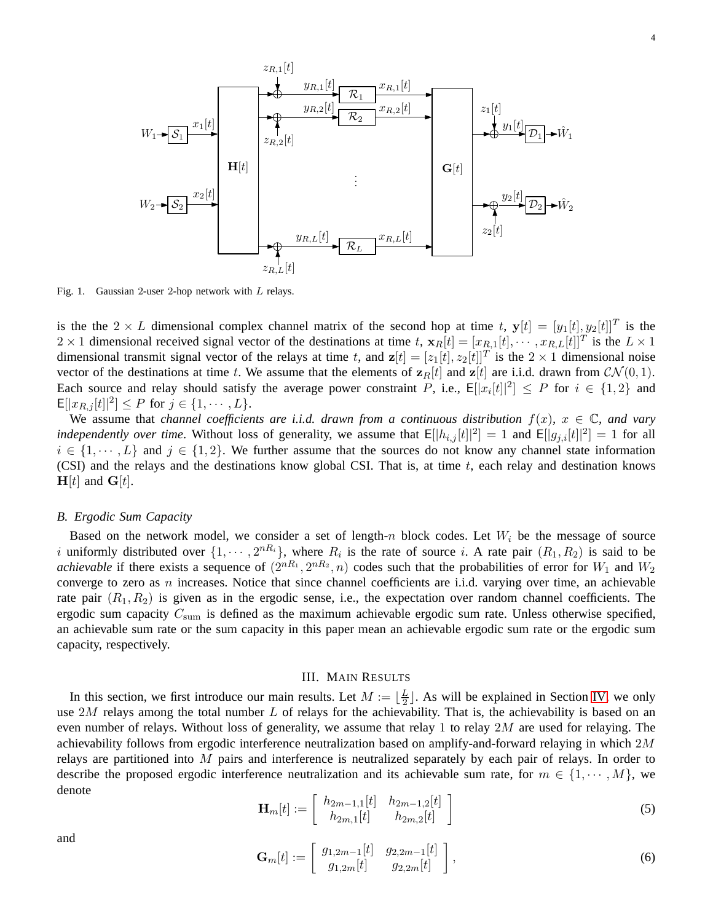

<span id="page-3-1"></span>Fig. 1. Gaussian 2-user 2-hop network with L relays.

is the the  $2 \times L$  dimensional complex channel matrix of the second hop at time t,  $y[t] = [y_1[t], y_2[t]]^T$  is the  $2 \times 1$  dimensional received signal vector of the destinations at time t,  $\mathbf{x}_R[t] = [x_{R,1}[t], \cdots, x_{R,L}[t]]^T$  is the  $L \times 1$ dimensional transmit signal vector of the relays at time t, and  $z[t] = [z_1[t], z_2[t]]^T$  is the  $2 \times 1$  dimensional noise vector of the destinations at time t. We assume that the elements of  $z_R[t]$  and  $z[t]$  are i.i.d. drawn from  $CN(0, 1)$ . Each source and relay should satisfy the average power constraint P, i.e.,  $E[|x_i[t]|^2] \leq P$  for  $i \in \{1,2\}$  and  $\mathsf{E}[|x_{R,j}[t]|^2] \leq P \text{ for } j \in \{1, \cdots, L\}.$ 

We assume that *channel coefficients are i.i.d. drawn from a continuous distribution*  $f(x)$ ,  $x \in \mathbb{C}$ *, and vary independently over time.* Without loss of generality, we assume that  $E[|h_{i,j}[t]|^2] = 1$  and  $E[|g_{j,i}[t]|^2] = 1$  for all  $i \in \{1, \dots, L\}$  and  $j \in \{1, 2\}$ . We further assume that the sources do not know any channel state information (CSI) and the relays and the destinations know global CSI. That is, at time  $t$ , each relay and destination knows  $H[t]$  and  $G[t]$ .

# *B. Ergodic Sum Capacity*

Based on the network model, we consider a set of length-n block codes. Let  $W_i$  be the message of source i uniformly distributed over  $\{1, \dots, 2^{nR_i}\}$ , where  $R_i$  is the rate of source i. A rate pair  $(R_1, R_2)$  is said to be *achievable* if there exists a sequence of  $(2^{nR_1}, 2^{nR_2}, n)$  codes such that the probabilities of error for  $W_1$  and  $W_2$ converge to zero as  $n$  increases. Notice that since channel coefficients are i.i.d. varying over time, an achievable rate pair  $(R_1, R_2)$  is given as in the ergodic sense, i.e., the expectation over random channel coefficients. The ergodic sum capacity  $C_{\text{sum}}$  is defined as the maximum achievable ergodic sum rate. Unless otherwise specified, an achievable sum rate or the sum capacity in this paper mean an achievable ergodic sum rate or the ergodic sum capacity, respectively.

# III. MAIN RESULTS

<span id="page-3-0"></span>In this section, we first introduce our main results. Let  $M := \lfloor \frac{L}{2} \rfloor$  $\frac{L}{2}$ . As will be explained in Section [IV,](#page-8-0) we only use  $2M$  relays among the total number L of relays for the achievability. That is, the achievability is based on an even number of relays. Without loss of generality, we assume that relay 1 to relay 2M are used for relaying. The achievability follows from ergodic interference neutralization based on amplify-and-forward relaying in which 2M relays are partitioned into  $M$  pairs and interference is neutralized separately by each pair of relays. In order to describe the proposed ergodic interference neutralization and its achievable sum rate, for  $m \in \{1, \dots, M\}$ , we denote

$$
\mathbf{H}_{m}[t] := \begin{bmatrix} h_{2m-1,1}[t] & h_{2m-1,2}[t] \\ h_{2m,1}[t] & h_{2m,2}[t] \end{bmatrix}
$$
 (5)

and

$$
\mathbf{G}_{m}[t] := \begin{bmatrix} g_{1,2m-1}[t] & g_{2,2m-1}[t] \\ g_{1,2m}[t] & g_{2,2m}[t] \end{bmatrix},
$$
\n(6)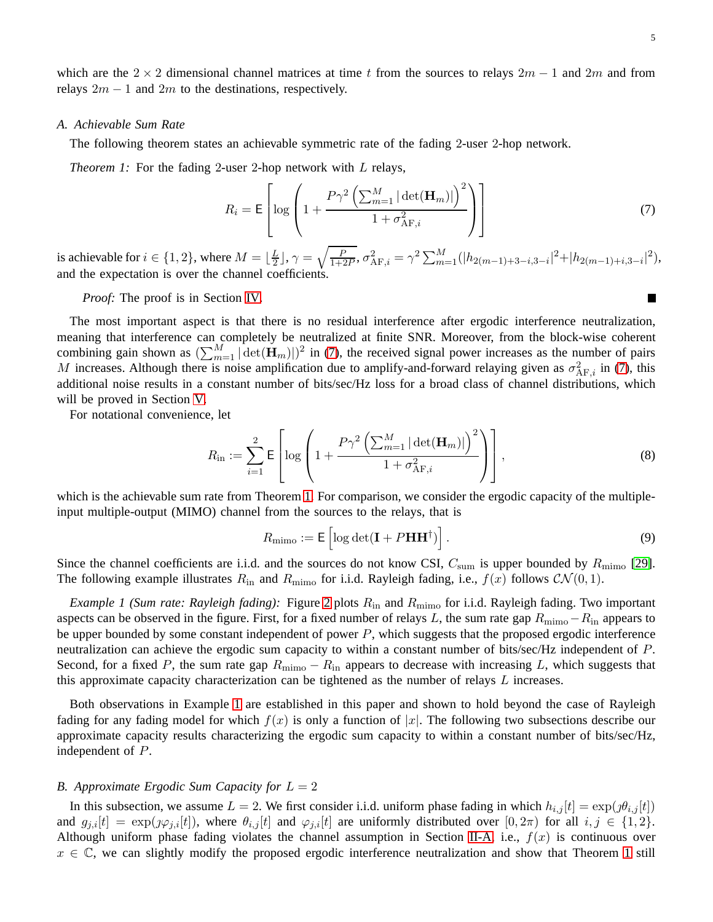П

which are the 2  $\times$  2 dimensional channel matrices at time t from the sources to relays 2m – 1 and 2m and from relays  $2m - 1$  and  $2m$  to the destinations, respectively.

#### *A. Achievable Sum Rate*

<span id="page-4-1"></span>The following theorem states an achievable symmetric rate of the fading 2-user 2-hop network.

*Theorem 1:* For the fading 2-user 2-hop network with L relays,

<span id="page-4-0"></span>
$$
R_i = \mathsf{E}\left[\log\left(1 + \frac{P\gamma^2\left(\sum_{m=1}^M|\det(\mathbf{H}_m)|\right)^2}{1 + \sigma_{\text{AF},i}^2}\right)\right]
$$
(7)

is achievable for  $i \in \{1, 2\}$ , where  $M = \lfloor \frac{L}{2} \rfloor$  $\frac{L}{2}$ ],  $\gamma = \sqrt{\frac{P}{1+2P}}$ ,  $\sigma_{\text{AF},i}^2 = \gamma^2 \sum_{m=1}^{M} (|h_{2(m-1)+3-i,3-i}|^2 + |h_{2(m-1)+i,3-i}|^2)$ , and the expectation is over the channel coefficients.

*Proof:* The proof is in Section [IV.](#page-8-0)

The most important aspect is that there is no residual interference after ergodic interference neutralization, meaning that interference can completely be neutralized at finite SNR. Moreover, from the block-wise coherent combining gain shown as  $(\sum_{m=1}^{M} |\det(\mathbf{H}_m)|)^2$  in [\(7\)](#page-4-0), the received signal power increases as the number of pairs M increases. Although there is noise amplification due to amplify-and-forward relaying given as  $\sigma_{AF,i}^2$  in [\(7\)](#page-4-0), this additional noise results in a constant number of bits/sec/Hz loss for a broad class of channel distributions, which will be proved in Section [V.](#page-12-0)

For notational convenience, let

<span id="page-4-3"></span>
$$
R_{\rm in} := \sum_{i=1}^{2} \mathsf{E}\left[\log\left(1 + \frac{P\gamma^2 \left(\sum_{m=1}^{M} |\det(\mathbf{H}_m)|\right)^2}{1 + \sigma_{\rm AF,i}^2}\right)\right],\tag{8}
$$

which is the achievable sum rate from Theorem [1.](#page-4-1) For comparison, we consider the ergodic capacity of the multipleinput multiple-output (MIMO) channel from the sources to the relays, that is

<span id="page-4-4"></span>
$$
R_{\text{mimo}} := \mathsf{E}\left[\log \det(\mathbf{I} + P\mathbf{H}\mathbf{H}^{\dagger})\right].\tag{9}
$$

Since the channel coefficients are i.i.d. and the sources do not know CSI,  $C_{\text{sum}}$  is upper bounded by  $R_{\text{mimo}}$  [\[29\]](#page-21-14). The following example illustrates  $R_{\text{in}}$  and  $R_{\text{mimo}}$  for i.i.d. Rayleigh fading, i.e.,  $f(x)$  follows  $\mathcal{CN}(0,1)$ .

<span id="page-4-2"></span>*Example 1 (Sum rate: Rayleigh fading):* Figure [2](#page-5-0) plots  $R_{\text{in}}$  and  $R_{\text{mimo}}$  for i.i.d. Rayleigh fading. Two important aspects can be observed in the figure. First, for a fixed number of relays L, the sum rate gap  $R_{\text{mimo}}-R_{\text{in}}$  appears to be upper bounded by some constant independent of power  $P$ , which suggests that the proposed ergodic interference neutralization can achieve the ergodic sum capacity to within a constant number of bits/sec/Hz independent of P. Second, for a fixed P, the sum rate gap  $R_{\text{mimo}} - R_{\text{in}}$  appears to decrease with increasing L, which suggests that this approximate capacity characterization can be tightened as the number of relays  $L$  increases.

Both observations in Example [1](#page-4-2) are established in this paper and shown to hold beyond the case of Rayleigh fading for any fading model for which  $f(x)$  is only a function of |x|. The following two subsections describe our approximate capacity results characterizing the ergodic sum capacity to within a constant number of bits/sec/Hz, independent of P.

# *B. Approximate Ergodic Sum Capacity for*  $L = 2$

In this subsection, we assume  $L = 2$ . We first consider i.i.d. uniform phase fading in which  $h_{i,j}[t] = \exp(j\theta_{i,j}[t])$ and  $g_{i,i}[t] = \exp(j\varphi_{i,i}[t])$ , where  $\theta_{i,j}[t]$  and  $\varphi_{i,i}[t]$  are uniformly distributed over  $[0,2\pi)$  for all  $i, j \in \{1,2\}$ . Although uniform phase fading violates the channel assumption in Section [II-A,](#page-2-2) i.e.,  $f(x)$  is continuous over  $x \in \mathbb{C}$ , we can slightly modify the proposed ergodic interference neutralization and show that Theorem [1](#page-4-1) still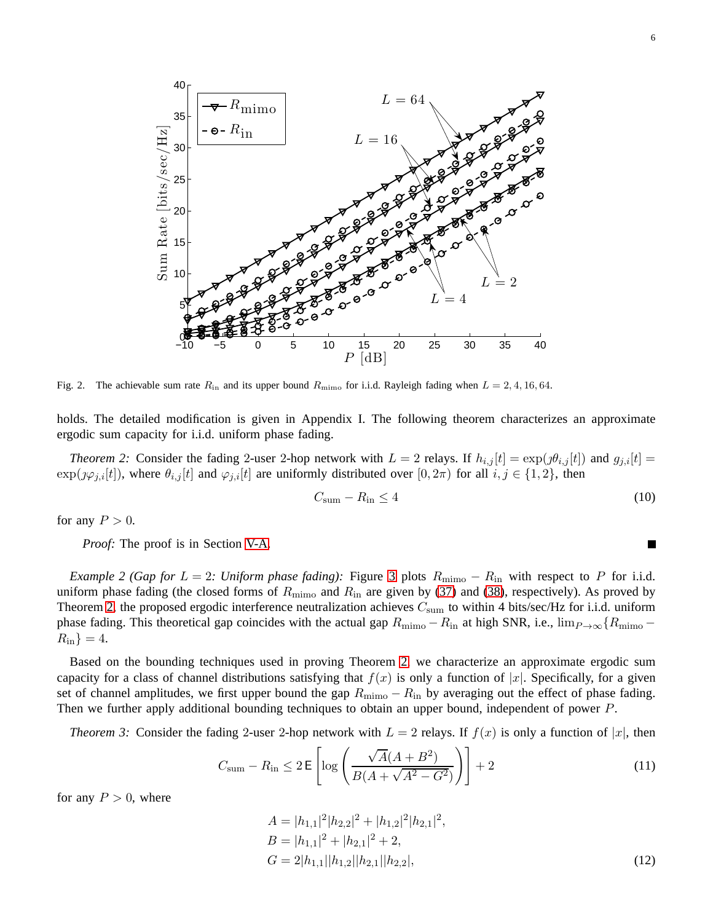

<span id="page-5-0"></span>Fig. 2. The achievable sum rate  $R_{\rm in}$  and its upper bound  $R_{\rm min}$  for i.i.d. Rayleigh fading when  $L = 2, 4, 16, 64$ .

holds. The detailed modification is given in Appendix I. The following theorem characterizes an approximate ergodic sum capacity for i.i.d. uniform phase fading.

<span id="page-5-1"></span>*Theorem 2:* Consider the fading 2-user 2-hop network with  $L = 2$  relays. If  $h_{i,j}[t] = \exp(j\theta_{i,j}[t])$  and  $g_{j,i}[t] =$  $\exp(j\varphi_{i,i}[t])$ , where  $\theta_{i,j}[t]$  and  $\varphi_{j,i}[t]$  are uniformly distributed over  $[0, 2\pi)$  for all  $i, j \in \{1, 2\}$ , then

$$
C_{\text{sum}} - R_{\text{in}} \le 4 \tag{10}
$$

for any  $P > 0$ .

*Proof:* The proof is in Section [V-A.](#page-12-1)

*Example 2 (Gap for L = 2: Uniform phase fading):* Figure [3](#page-6-0) plots  $R_{\text{mimo}} - R_{\text{in}}$  with respect to P for i.i.d. uniform phase fading (the closed forms of  $R_{\text{mimo}}$  and  $R_{\text{in}}$  are given by [\(37\)](#page-13-0) and [\(38\)](#page-13-1), respectively). As proved by Theorem [2,](#page-5-1) the proposed ergodic interference neutralization achieves  $C_{\text{sum}}$  to within 4 bits/sec/Hz for i.i.d. uniform phase fading. This theoretical gap coincides with the actual gap  $R_{\text{mimo}} - R_{\text{in}}$  at high SNR, i.e.,  $\lim_{P\to\infty} {R_{\text{mimo}} - R_{\text{in}}$  $R_{\rm in}$ } = 4.

Based on the bounding techniques used in proving Theorem [2,](#page-5-1) we characterize an approximate ergodic sum capacity for a class of channel distributions satisfying that  $f(x)$  is only a function of |x|. Specifically, for a given set of channel amplitudes, we first upper bound the gap  $R_{\text{mimo}} - R_{\text{in}}$  by averaging out the effect of phase fading. Then we further apply additional bounding techniques to obtain an upper bound, independent of power P.

<span id="page-5-2"></span>*Theorem 3:* Consider the fading 2-user 2-hop network with  $L = 2$  relays. If  $f(x)$  is only a function of  $|x|$ , then

$$
C_{\text{sum}} - R_{\text{in}} \le 2 \mathsf{E} \left[ \log \left( \frac{\sqrt{A}(A + B^2)}{B(A + \sqrt{A^2 - G^2})} \right) \right] + 2 \tag{11}
$$

for any  $P > 0$ , where

$$
A = |h_{1,1}|^2 |h_{2,2}|^2 + |h_{1,2}|^2 |h_{2,1}|^2,
$$
  
\n
$$
B = |h_{1,1}|^2 + |h_{2,1}|^2 + 2,
$$
  
\n
$$
G = 2|h_{1,1}||h_{1,2}||h_{2,1}||h_{2,2}|,
$$
\n(12)

$$
\blacksquare
$$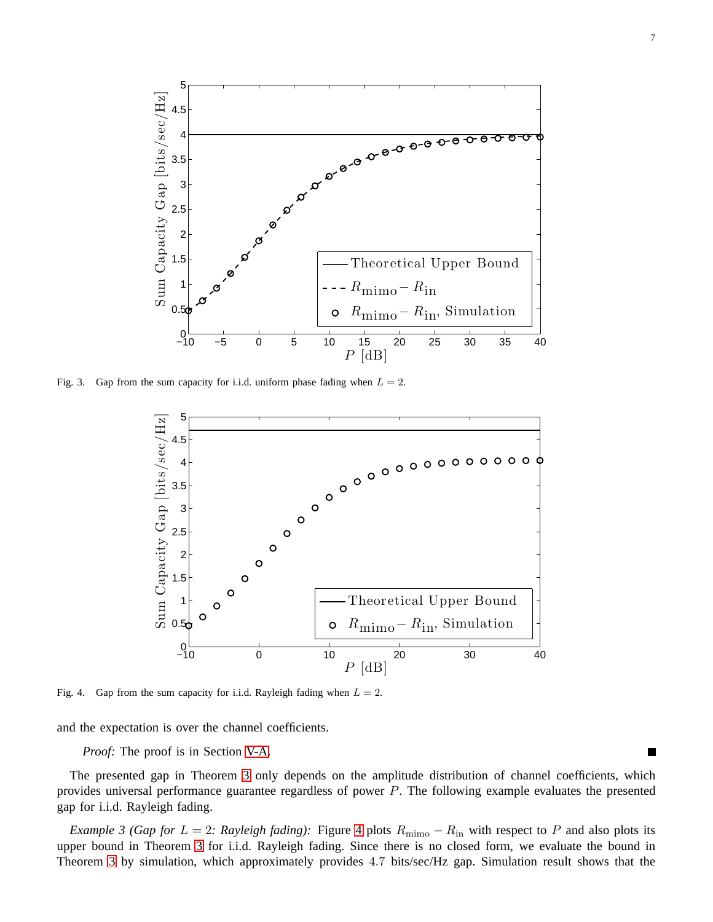

<span id="page-6-0"></span>Fig. 3. Gap from the sum capacity for i.i.d. uniform phase fading when  $L = 2$ .



<span id="page-6-1"></span>Fig. 4. Gap from the sum capacity for i.i.d. Rayleigh fading when  $L = 2$ .

and the expectation is over the channel coefficients.

*Proof:* The proof is in Section [V-A.](#page-12-1)

The presented gap in Theorem [3](#page-5-2) only depends on the amplitude distribution of channel coefficients, which provides universal performance guarantee regardless of power P. The following example evaluates the presented gap for i.i.d. Rayleigh fading.

<span id="page-6-2"></span>*Example 3 (Gap for L = 2: Rayleigh fading):* Figure [4](#page-6-1) plots  $R_{\text{mimo}} - R_{\text{in}}$  with respect to P and also plots its upper bound in Theorem [3](#page-5-2) for i.i.d. Rayleigh fading. Since there is no closed form, we evaluate the bound in Theorem [3](#page-5-2) by simulation, which approximately provides 4.7 bits/sec/Hz gap. Simulation result shows that the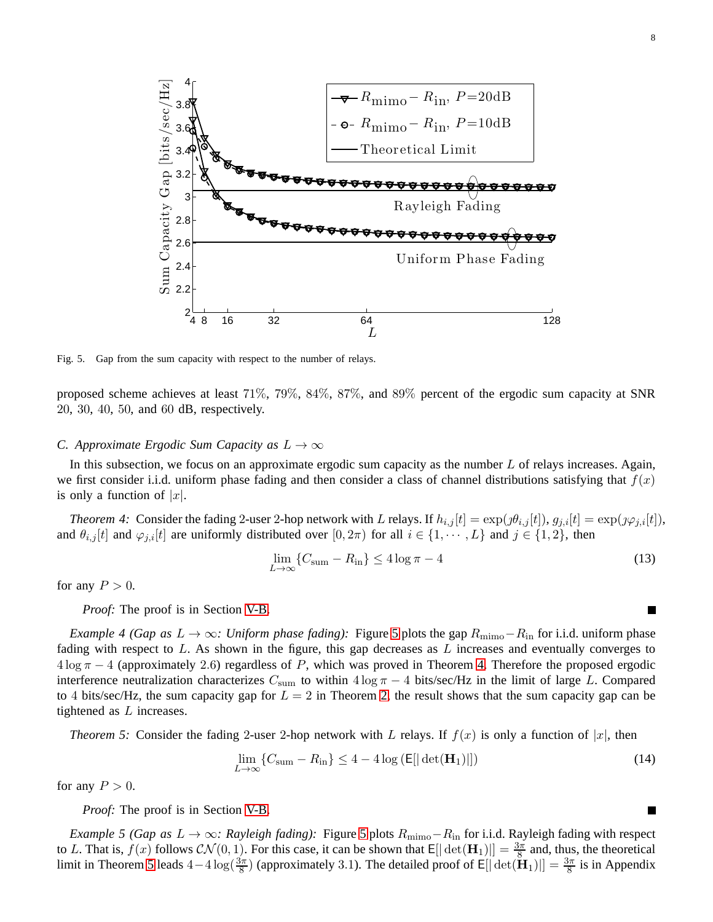

<span id="page-7-0"></span>Fig. 5. Gap from the sum capacity with respect to the number of relays.

proposed scheme achieves at least 71%, 79%, 84%, 87%, and 89% percent of the ergodic sum capacity at SNR 20, 30, 40, 50, and 60 dB, respectively.

# *C. Approximate Ergodic Sum Capacity as*  $L \rightarrow \infty$

In this subsection, we focus on an approximate ergodic sum capacity as the number L of relays increases. Again, we first consider i.i.d. uniform phase fading and then consider a class of channel distributions satisfying that  $f(x)$ is only a function of  $|x|$ .

<span id="page-7-1"></span>*Theorem 4:* Consider the fading 2-user 2-hop network with L relays. If  $h_{i,j}[t] = \exp(\jmath\theta_{i,j}[t])$ ,  $g_{j,i}[t] = \exp(\jmath\varphi_{j,i}[t])$ , and  $\theta_{i,j}[t]$  and  $\varphi_{j,i}[t]$  are uniformly distributed over  $[0, 2\pi)$  for all  $i \in \{1, \dots, L\}$  and  $j \in \{1, 2\}$ , then

$$
\lim_{L \to \infty} \{ C_{\text{sum}} - R_{\text{in}} \} \le 4 \log \pi - 4 \tag{13}
$$

for any  $P > 0$ .

*Proof:* The proof is in Section [V-B.](#page-15-0)

*Example 4 (Gap as*  $L \to \infty$ *: Uniform phase fading):* Figure [5](#page-7-0) plots the gap  $R_{\text{mimo}} - R_{\text{in}}$  for i.i.d. uniform phase fading with respect to  $L$ . As shown in the figure, this gap decreases as  $L$  increases and eventually converges to  $4 \log \pi - 4$  (approximately 2.6) regardless of P, which was proved in Theorem [4.](#page-7-1) Therefore the proposed ergodic interference neutralization characterizes  $C_{\text{sum}}$  to within  $4 \log \pi - 4$  bits/sec/Hz in the limit of large L. Compared to 4 bits/sec/Hz, the sum capacity gap for  $L = 2$  in Theorem [2,](#page-5-1) the result shows that the sum capacity gap can be tightened as  $L$  increases.

<span id="page-7-2"></span>*Theorem 5:* Consider the fading 2-user 2-hop network with L relays. If  $f(x)$  is only a function of  $|x|$ , then

$$
\lim_{L \to \infty} \{ C_{\text{sum}} - R_{\text{in}} \} \le 4 - 4 \log \left( \mathbb{E} [|\det(\mathbf{H}_1)|] \right) \tag{14}
$$

for any  $P > 0$ .

*Proof:* The proof is in Section [V-B.](#page-15-0)

*Example [5](#page-7-0) (Gap as L → ∞: Rayleigh fading):* Figure 5 plots  $R_{\text{mimo}}-R_{\text{in}}$  for i.i.d. Rayleigh fading with respect to L. That is,  $f(x)$  follows  $CN(0, 1)$ . For this case, it can be shown that  $E[|\det(\mathbf{H}_1)|] = \frac{3\pi}{8}$  and, thus, the theoretical limit in Theorem [5](#page-7-2) leads  $4-4\log(\frac{3\pi}{8})$  (approximately 3.1). The detailed proof of E[|det( $H_1$ )|] =  $\frac{3\pi}{8}$  is in Appendix

L.

 $\blacksquare$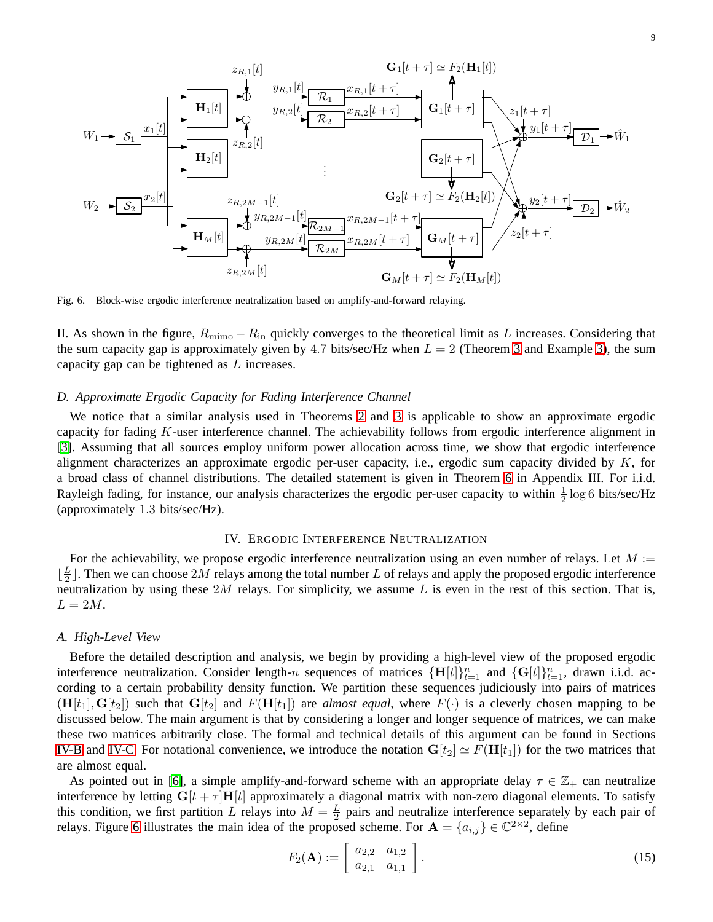

<span id="page-8-1"></span>Fig. 6. Block-wise ergodic interference neutralization based on amplify-and-forward relaying.

II. As shown in the figure,  $R_{\text{mimo}} - R_{\text{in}}$  quickly converges to the theoretical limit as L increases. Considering that the sum capacity gap is approximately given by 4.7 bits/sec/Hz when  $L = 2$  (Theorem [3](#page-5-2) and Example [3\)](#page-6-2), the sum capacity gap can be tightened as L increases.

# *D. Approximate Ergodic Capacity for Fading Interference Channel*

We notice that a similar analysis used in Theorems [2](#page-5-1) and [3](#page-5-2) is applicable to show an approximate ergodic capacity for fading K-user interference channel. The achievability follows from ergodic interference alignment in [\[3\]](#page-20-1). Assuming that all sources employ uniform power allocation across time, we show that ergodic interference alignment characterizes an approximate ergodic per-user capacity, i.e., ergodic sum capacity divided by  $K$ , for a broad class of channel distributions. The detailed statement is given in Theorem [6](#page-19-0) in Appendix III. For i.i.d. Rayleigh fading, for instance, our analysis characterizes the ergodic per-user capacity to within  $\frac{1}{2} \log 6$  bits/sec/Hz (approximately 1.3 bits/sec/Hz).

# IV. ERGODIC INTERFERENCE NEUTRALIZATION

<span id="page-8-0"></span>For the achievability, we propose ergodic interference neutralization using an even number of relays. Let  $M :=$  $\lfloor \frac{L}{2}$  $\frac{L}{2}$ ]. Then we can choose  $2M$  relays among the total number  $L$  of relays and apply the proposed ergodic interference neutralization by using these  $2M$  relays. For simplicity, we assume  $L$  is even in the rest of this section. That is,  $L = 2M$ .

#### *A. High-Level View*

Before the detailed description and analysis, we begin by providing a high-level view of the proposed ergodic interference neutralization. Consider length-n sequences of matrices  $\{\mathbf{H}[t]\}_{t=1}^n$  and  $\{\mathbf{G}[t]\}_{t=1}^n$ , drawn i.i.d. according to a certain probability density function. We partition these sequences judiciously into pairs of matrices  $(H[t_1], G[t_2])$  such that  $G[t_2]$  and  $F(H[t_1])$  are *almost equal*, where  $F(\cdot)$  is a cleverly chosen mapping to be discussed below. The main argument is that by considering a longer and longer sequence of matrices, we can make these two matrices arbitrarily close. The formal and technical details of this argument can be found in Sections [IV-B](#page-9-0) and [IV-C.](#page-10-0) For notational convenience, we introduce the notation  $G[t_2] \simeq F(\mathbf{H}[t_1])$  for the two matrices that are almost equal.

As pointed out in [\[6\]](#page-21-1), a simple amplify-and-forward scheme with an appropriate delay  $\tau \in \mathbb{Z}_+$  can neutralize interference by letting  $G[t + \tau]H[t]$  approximately a diagonal matrix with non-zero diagonal elements. To satisfy this condition, we first partition L relays into  $M = \frac{L}{2}$  pairs and neutralize interference separately by each pair of relays. Figure [6](#page-8-1) illustrates the main idea of the proposed scheme. For  $\mathbf{A} = \{a_{i,j}\} \in \mathbb{C}^{2 \times 2}$ , define

<span id="page-8-2"></span>
$$
F_2(\mathbf{A}) := \left[ \begin{array}{cc} a_{2,2} & a_{1,2} \\ a_{2,1} & a_{1,1} \end{array} \right].
$$
 (15)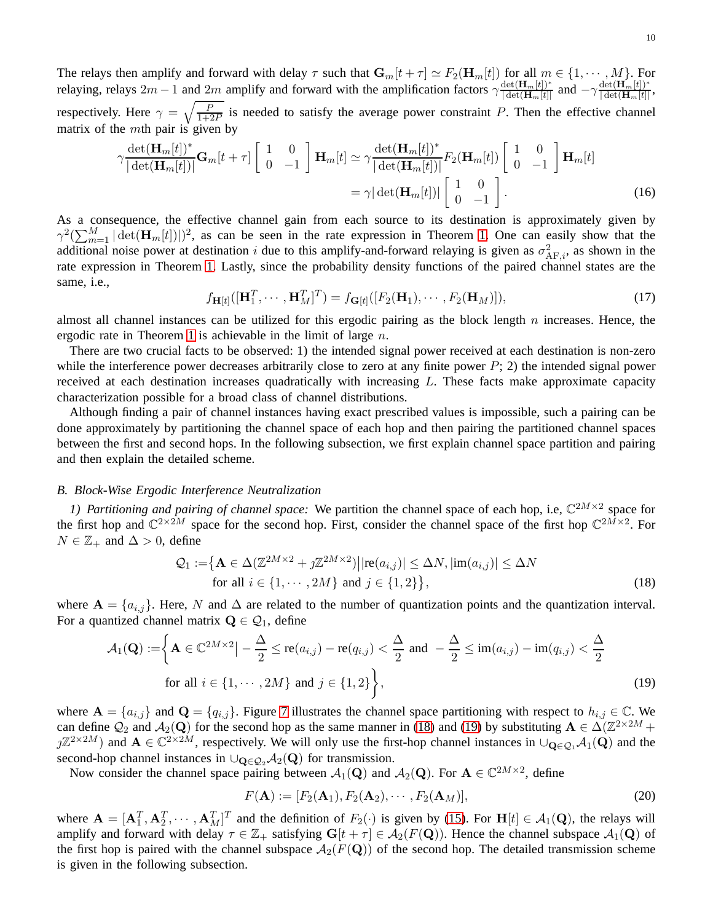The relays then amplify and forward with delay  $\tau$  such that  $\mathbf{G}_m[t + \tau] \simeq F_2(\mathbf{H}_m[t])$  for all  $m \in \{1, \cdots, M\}$ . For relaying, relays  $2m - 1$  and  $2m$  amplify and forward with the amplification factors  $\gamma \frac{\det(\mathbf{H}_m[t])^*}{|\det(\mathbf{H}_m[t]|^*}$  $\frac{\det(\mathbf{H}_m[t])^*}{|\det(\mathbf{H}_m[t)]}$  and  $-\gamma \frac{\det(\mathbf{H}_m[t])^*}{|\det(\mathbf{H}_m[t)]}$  $\frac{\det(\mathbf{H}_m[t])^\top}{|\det(\mathbf{H}_m[t)]},$ respectively. Here  $\gamma = \sqrt{\frac{P}{1+2P}}$  is needed to satisfy the average power constraint P. Then the effective channel matrix of the  $m$ th pair is given by

$$
\gamma \frac{\det(\mathbf{H}_m[t])^*}{|\det(\mathbf{H}_m[t])|} \mathbf{G}_m[t+\tau] \begin{bmatrix} 1 & 0 \\ 0 & -1 \end{bmatrix} \mathbf{H}_m[t] \simeq \gamma \frac{\det(\mathbf{H}_m[t])^*}{|\det(\mathbf{H}_m[t])|} F_2(\mathbf{H}_m[t]) \begin{bmatrix} 1 & 0 \\ 0 & -1 \end{bmatrix} \mathbf{H}_m[t]
$$

$$
= \gamma |\det(\mathbf{H}_m[t])| \begin{bmatrix} 1 & 0 \\ 0 & -1 \end{bmatrix} .
$$
(16)

As a consequence, the effective channel gain from each source to its destination is approximately given by  $\gamma^2(\sum_{m=1}^M|\det(\mathbf{H}_m[t])|)^2$ , as can be seen in the rate expression in Theorem [1.](#page-4-1) One can easily show that the additional noise power at destination i due to this amplify-and-forward relaying is given as  $\sigma_{AF,i}^2$ , as shown in the rate expression in Theorem [1.](#page-4-1) Lastly, since the probability density functions of the paired channel states are the same, i.e.,

$$
f_{\mathbf{H}[t]}([\mathbf{H}_1^T, \cdots, \mathbf{H}_M^T]^T) = f_{\mathbf{G}[t]}([F_2(\mathbf{H}_1), \cdots, F_2(\mathbf{H}_M)]),
$$
\n(17)

almost all channel instances can be utilized for this ergodic pairing as the block length  $n$  increases. Hence, the ergodic rate in Theorem [1](#page-4-1) is achievable in the limit of large  $n$ .

There are two crucial facts to be observed: 1) the intended signal power received at each destination is non-zero while the interference power decreases arbitrarily close to zero at any finite power  $P$ ; 2) the intended signal power received at each destination increases quadratically with increasing L. These facts make approximate capacity characterization possible for a broad class of channel distributions.

Although finding a pair of channel instances having exact prescribed values is impossible, such a pairing can be done approximately by partitioning the channel space of each hop and then pairing the partitioned channel spaces between the first and second hops. In the following subsection, we first explain channel space partition and pairing and then explain the detailed scheme.

#### <span id="page-9-0"></span>*B. Block-Wise Ergodic Interference Neutralization*

1) Partitioning and pairing of channel space: We partition the channel space of each hop, i.e,  $\mathbb{C}^{2M\times 2}$  space for the first hop and  $\mathbb{C}^{2\times 2M}$  space for the second hop. First, consider the channel space of the first hop  $\mathbb{C}^{2M\times 2}$ . For  $N \in \mathbb{Z}_+$  and  $\Delta > 0$ , define

$$
\mathcal{Q}_1 := \left\{ \mathbf{A} \in \Delta(\mathbb{Z}^{2M \times 2} + j\mathbb{Z}^{2M \times 2}) \middle| |\text{re}(a_{i,j})| \leq \Delta N, |\text{im}(a_{i,j})| \leq \Delta N \right\}
$$
\nfor all  $i \in \{1, \dots, 2M\}$  and  $j \in \{1, 2\}$ ,

\n(18)

where  $\mathbf{A} = \{a_{i,j}\}\.$  Here, N and  $\Delta$  are related to the number of quantization points and the quantization interval. For a quantized channel matrix  $\mathbf{Q} \in \mathcal{Q}_1$ , define

$$
\mathcal{A}_1(\mathbf{Q}) := \left\{ \mathbf{A} \in \mathbb{C}^{2M \times 2} \middle| -\frac{\Delta}{2} \le \text{re}(a_{i,j}) - \text{re}(q_{i,j}) < \frac{\Delta}{2} \text{ and } -\frac{\Delta}{2} \le \text{im}(a_{i,j}) - \text{im}(q_{i,j}) < \frac{\Delta}{2} \right\}
$$
\n
$$
\text{for all } i \in \{1, \cdots, 2M\} \text{ and } j \in \{1, 2\} \right\},\tag{19}
$$

where  $A = \{a_{i,j}\}\$ and  $Q = \{q_{i,j}\}\$ . Figure [7](#page-10-1) illustrates the channel space partitioning with respect to  $h_{i,j} \in \mathbb{C}$ . We can define  $\mathcal{Q}_2$  and  $\mathcal{A}_2(\mathbf{Q})$  for the second hop as the same manner in [\(18\)](#page-9-1) and [\(19\)](#page-9-2) by substituting  $\mathbf{A} \in \Delta(\mathbb{Z}^{2\times 2M} +$  $j\mathbb{Z}^{2\times 2M}$ ) and  $\mathbf{A}\in\mathbb{C}^{2\times 2M}$ , respectively. We will only use the first-hop channel instances in  $\cup_{\mathbf{Q}\in\mathcal{Q}_1}\mathcal{A}_1(\mathbf{Q})$  and the second-hop channel instances in  $\bigcup_{\mathbf{Q}\in\mathcal{Q}_2}\mathcal{A}_2(\mathbf{Q})$  for transmission.

Now consider the channel space pairing between  $A_1(Q)$  and  $A_2(Q)$ . For  $A \in \mathbb{C}^{2M \times 2}$ , define

<span id="page-9-2"></span><span id="page-9-1"></span>
$$
F(\mathbf{A}) := [F_2(\mathbf{A}_1), F_2(\mathbf{A}_2), \cdots, F_2(\mathbf{A}_M)],
$$
\n(20)

where  $\mathbf{A} = [\mathbf{A}_1^T, \mathbf{A}_2^T, \cdots, \mathbf{A}_M^T]^T$  and the definition of  $F_2(\cdot)$  is given by [\(15\)](#page-8-2). For  $\mathbf{H}[t] \in \mathcal{A}_1(\mathbf{Q})$ , the relays will amplify and forward with delay  $\tau \in \mathbb{Z}_+$  satisfying  $G[t + \tau] \in \mathcal{A}_2(F(Q))$ . Hence the channel subspace  $\mathcal{A}_1(Q)$  of the first hop is paired with the channel subspace  $A_2(F(Q))$  of the second hop. The detailed transmission scheme is given in the following subsection.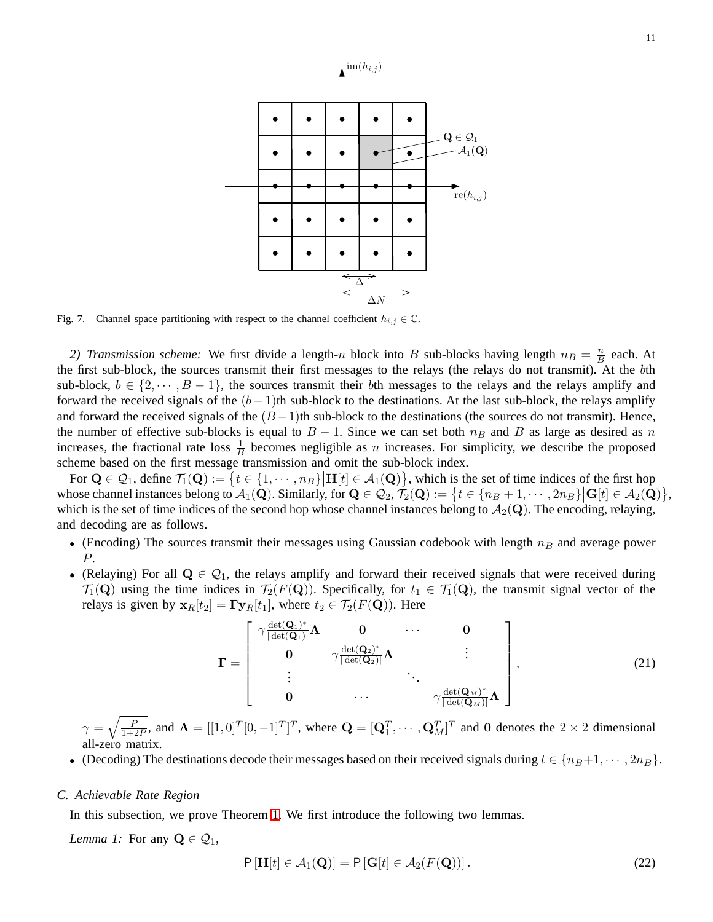

<span id="page-10-1"></span>Fig. 7. Channel space partitioning with respect to the channel coefficient  $h_{i,j} \in \mathbb{C}$ .

2) Transmission scheme: We first divide a length-n block into B sub-blocks having length  $n_B = \frac{n}{B}$  $\frac{n}{B}$  each. At the first sub-block, the sources transmit their first messages to the relays (the relays do not transmit). At the bth sub-block,  $b \in \{2, \dots, B-1\}$ , the sources transmit their bth messages to the relays and the relays amplify and forward the received signals of the  $(b-1)$ th sub-block to the destinations. At the last sub-block, the relays amplify and forward the received signals of the  $(B-1)$ th sub-block to the destinations (the sources do not transmit). Hence, the number of effective sub-blocks is equal to  $B - 1$ . Since we can set both  $n_B$  and B as large as desired as n increases, the fractional rate loss  $\frac{1}{B}$  becomes negligible as *n* increases. For simplicity, we describe the proposed scheme based on the first message transmission and omit the sub-block index.

For  $\mathbf{Q} \in \mathcal{Q}_1$ , define  $\mathcal{T}_1(\mathbf{Q}) := \{t \in \{1, \dots, n\}\mid \mathbf{H}[t] \in \mathcal{A}_1(\mathbf{Q})\}$ , which is the set of time indices of the first hop whose channel instances belong to  $\mathcal{A}_1(\mathbf{Q})$ . Similarly, for  $\mathbf{Q} \in \mathcal{Q}_2$ ,  $\mathcal{T}_2(\mathbf{Q}) := \{ t \in \{n_B + 1, \dots, 2n_B\} \mid \mathbf{G}[t] \in \mathcal{A}_2(\mathbf{Q}) \}$ , which is the set of time indices of the second hop whose channel instances belong to  $A_2(Q)$ . The encoding, relaying, and decoding are as follows.

- (Encoding) The sources transmit their messages using Gaussian codebook with length  $n_B$  and average power P.
- (Relaying) For all  $Q \in \mathcal{Q}_1$ , the relays amplify and forward their received signals that were received during  $\mathcal{T}_1(\mathbf{Q})$  using the time indices in  $\mathcal{T}_2(F(\mathbf{Q}))$ . Specifically, for  $t_1 \in \mathcal{T}_1(\mathbf{Q})$ , the transmit signal vector of the relays is given by  $\mathbf{x}_R[t_2] = \mathbf{\Gamma} \mathbf{y}_R[t_1]$ , where  $t_2 \in \mathcal{T}_2(F(\mathbf{Q}))$ . Here

$$
\boldsymbol{\Gamma} = \begin{bmatrix} \gamma \frac{\det(\mathbf{Q}_1)^*}{|\det(\mathbf{Q}_1)|} \boldsymbol{\Lambda} & \mathbf{0} & \cdots & \mathbf{0} \\ \mathbf{0} & \gamma \frac{\det(\mathbf{Q}_2)^*}{|\det(\mathbf{Q}_2)|} \boldsymbol{\Lambda} & \vdots \\ \vdots & \ddots & \ddots & \vdots \\ \mathbf{0} & \cdots & \gamma \frac{\det(\mathbf{Q}_M)^*}{|\det(\mathbf{Q}_M)|} \boldsymbol{\Lambda} \end{bmatrix},
$$
(21)

 $\gamma = \sqrt{\frac{F}{1+\zeta}}$  $\frac{P}{1+2P}$ , and  $\mathbf{\Lambda} = [[1,0]^T [0,-1]^T]^T$ , where  $\mathbf{Q} = [\mathbf{Q}_1^T, \cdots, \mathbf{Q}_M^T]^T$  and 0 denotes the  $2 \times 2$  dimensional all-zero matrix.

• (Decoding) The destinations decode their messages based on their received signals during  $t \in \{n_B+1, \dots, 2n_B\}$ .

#### <span id="page-10-0"></span>*C. Achievable Rate Region*

<span id="page-10-2"></span>In this subsection, we prove Theorem [1.](#page-4-1) We first introduce the following two lemmas.

*Lemma 1:* For any  $\mathbf{Q} \in \mathcal{Q}_1$ ,

$$
P\left[\mathbf{H}[t] \in \mathcal{A}_1(\mathbf{Q})\right] = P\left[\mathbf{G}[t] \in \mathcal{A}_2(F(\mathbf{Q}))\right].\tag{22}
$$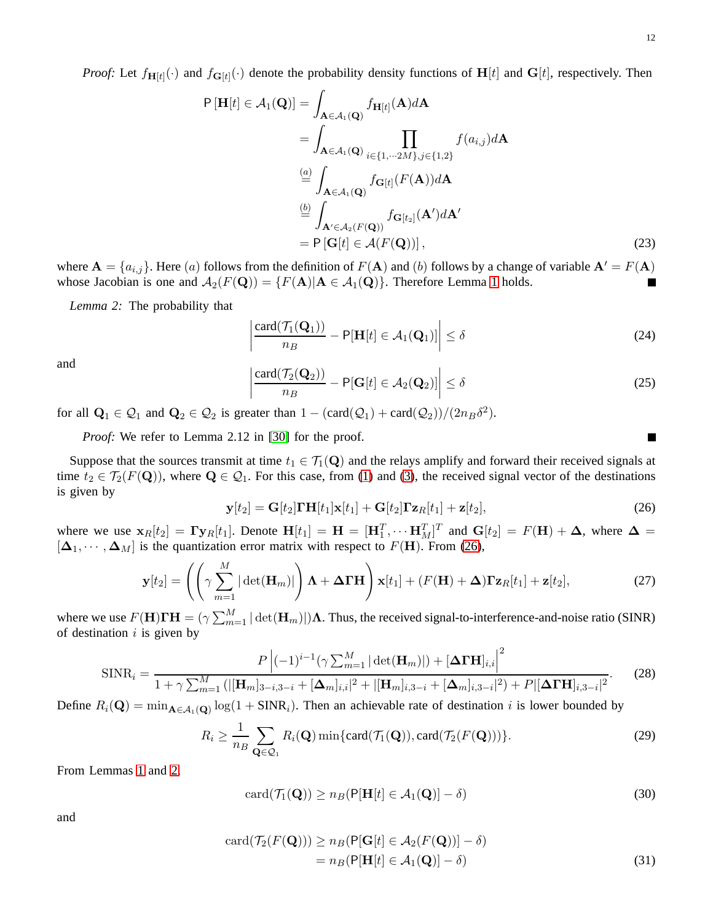$$
P\left[\mathbf{H}[t] \in \mathcal{A}_1(\mathbf{Q})\right] = \int_{\mathbf{A} \in \mathcal{A}_1(\mathbf{Q})} f_{\mathbf{H}[t]}(\mathbf{A}) d\mathbf{A}
$$
  
\n
$$
= \int_{\mathbf{A} \in \mathcal{A}_1(\mathbf{Q})} \prod_{i \in \{1, \dots, 2M\}, j \in \{1, 2\}} f(a_{i,j}) d\mathbf{A}
$$
  
\n
$$
\stackrel{(a)}{=} \int_{\mathbf{A} \in \mathcal{A}_1(\mathbf{Q})} f_{\mathbf{G}[t]}(F(\mathbf{A})) d\mathbf{A}
$$
  
\n
$$
\stackrel{(b)}{=} \int_{\mathbf{A}' \in \mathcal{A}_2(F(\mathbf{Q}))} f_{\mathbf{G}[t_2]}(\mathbf{A}') d\mathbf{A}'
$$
  
\n
$$
= P\left[\mathbf{G}[t] \in \mathcal{A}(F(\mathbf{Q}))\right],
$$
\n(23)

where  $\mathbf{A} = \{a_{i,j}\}\.$  Here (a) follows from the definition of  $F(\mathbf{A})$  and (b) follows by a change of variable  $\mathbf{A}' = F(\mathbf{A})$ whose Jacobian is one and  $\mathcal{A}_2(F(Q)) = \{ F(A) | A \in \mathcal{A}_1(Q) \}$ . Therefore Lemma [1](#page-10-2) holds.

*Lemma 2:* The probability that

$$
\left|\frac{\operatorname{card}(\mathcal{T}_1(\mathbf{Q}_1))}{n_B} - \mathsf{P}[\mathbf{H}[t] \in \mathcal{A}_1(\mathbf{Q}_1)]\right| \le \delta \tag{24}
$$

and 

$$
\frac{\operatorname{card}(\mathcal{T}_2(\mathbf{Q}_2))}{n_B} - \mathsf{P}[\mathbf{G}[t] \in \mathcal{A}_2(\mathbf{Q}_2)] \Big| \le \delta \tag{25}
$$

for all  $Q_1 \in Q_1$  and  $Q_2 \in Q_2$  is greater than  $1 - (card(Q_1) + card(Q_2))/(2n_B \delta^2)$ .

<span id="page-11-1"></span> $\overline{\phantom{a}}$  $\overline{\phantom{a}}$  $\mid$ 

*Proof:* We refer to Lemma 2.12 in [\[30\]](#page-21-15) for the proof.

Suppose that the sources transmit at time  $t_1 \in \mathcal{T}_1(\mathbf{Q})$  and the relays amplify and forward their received signals at time  $t_2 \in \mathcal{T}_2(F(\mathbf{Q}))$ , where  $\mathbf{Q} \in \mathcal{Q}_1$ . For this case, from [\(1\)](#page-2-3) and [\(3\)](#page-2-4), the received signal vector of the destinations is given by

<span id="page-11-0"></span>
$$
\mathbf{y}[t_2] = \mathbf{G}[t_2] \mathbf{\Gamma} \mathbf{H}[t_1] \mathbf{x}[t_1] + \mathbf{G}[t_2] \mathbf{\Gamma} \mathbf{z}_R[t_1] + \mathbf{z}[t_2],\tag{26}
$$

where we use  $\mathbf{x}_R[t_2] = \mathbf{\Gamma} \mathbf{y}_R[t_1]$ . Denote  $\mathbf{H}[t_1] = \mathbf{H} = [\mathbf{H}_1^T, \cdots \mathbf{H}_M^T]^T$  and  $\mathbf{G}[t_2] = F(\mathbf{H}) + \mathbf{\Delta}$ , where  $\mathbf{\Delta} =$  $[\Delta_1, \cdots, \Delta_M]$  is the quantization error matrix with respect to  $F(H)$ . From [\(26\)](#page-11-0),

$$
\mathbf{y}[t_2] = \left( \left( \gamma \sum_{m=1}^M |\det(\mathbf{H}_m)| \right) \mathbf{\Lambda} + \Delta \mathbf{\Gamma} \mathbf{H} \right) \mathbf{x}[t_1] + (F(\mathbf{H}) + \Delta) \mathbf{\Gamma} \mathbf{z}_R[t_1] + \mathbf{z}[t_2],\tag{27}
$$

where we use  $F(\mathbf{H})\mathbf{\Gamma}\mathbf{H} = (\gamma \sum_{m=1}^{M} |\det(\mathbf{H}_m)|)\mathbf{\Lambda}$ . Thus, the received signal-to-interference-and-noise ratio (SINR) of destination  $i$  is given by

$$
\text{SINR}_{i} = \frac{P|(-1)^{i-1}(\gamma \sum_{m=1}^{M} |\det(\mathbf{H}_{m})|) + [\Delta \mathbf{\Gamma} \mathbf{H}]_{i,i}|^{2}}{1 + \gamma \sum_{m=1}^{M} (|[\mathbf{H}_{m}]_{3-i,3-i} + [\Delta_{m}]_{i,i}|^{2} + |[\mathbf{H}_{m}]_{i,3-i} + [\Delta_{m}]_{i,3-i}|^{2}) + P[[\Delta \mathbf{\Gamma} \mathbf{H}]_{i,3-i}|^{2}}.
$$
(28)

Define  $R_i(\mathbf{Q}) = \min_{\mathbf{A} \in \mathcal{A}_1(\mathbf{Q})} \log(1 + \text{SINR}_i)$ . Then an achievable rate of destination i is lower bounded by

$$
R_i \ge \frac{1}{n_B} \sum_{\mathbf{Q} \in \mathcal{Q}_1} R_i(\mathbf{Q}) \min \{ \text{card}(\mathcal{T}_1(\mathbf{Q})), \text{card}(\mathcal{T}_2(F(\mathbf{Q}))) \}. \tag{29}
$$

From Lemmas [1](#page-10-2) and [2,](#page-11-1)

$$
card(\mathcal{T}_1(\mathbf{Q})) \ge n_B(\mathsf{P}[\mathbf{H}[t] \in \mathcal{A}_1(\mathbf{Q})] - \delta)
$$
\n(30)

and

$$
card(\mathcal{T}_2(F(\mathbf{Q}))) \ge n_B(\mathbf{P}[\mathbf{G}[t] \in \mathcal{A}_2(F(\mathbf{Q}))] - \delta)
$$
  
=  $n_B(\mathbf{P}[\mathbf{H}[t] \in \mathcal{A}_1(\mathbf{Q})] - \delta)$  (31)

 $\blacksquare$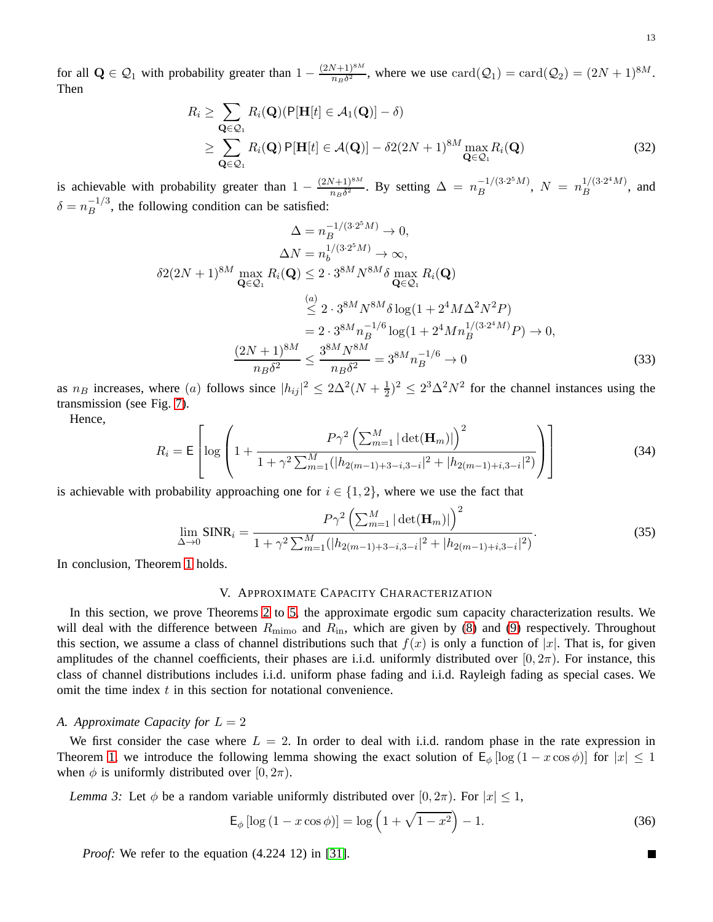for all  $\mathbf{Q} \in \mathcal{Q}_1$  with probability greater than  $1 - \frac{(2N+1)^{8M}}{n_B \delta^2}$  $\frac{(N+1)^{8M}}{n_B \delta^2}$ , where we use  $\text{card}(\mathcal{Q}_1) = \text{card}(\mathcal{Q}_2) = (2N+1)^{8M}$ . Then

$$
R_i \geq \sum_{\mathbf{Q} \in \mathcal{Q}_1} R_i(\mathbf{Q}) (\mathsf{P}[\mathbf{H}[t] \in \mathcal{A}_1(\mathbf{Q})] - \delta)
$$
  
 
$$
\geq \sum_{\mathbf{Q} \in \mathcal{Q}_1} R_i(\mathbf{Q}) \mathsf{P}[\mathbf{H}[t] \in \mathcal{A}(\mathbf{Q})] - \delta 2(2N+1)^{8M} \max_{\mathbf{Q} \in \mathcal{Q}_1} R_i(\mathbf{Q})
$$
(32)

is achievable with probability greater than  $1 - \frac{(2N+1)^{8M}}{n_B \delta^2}$  $\frac{(N+1)^{8M}}{n_B \delta^2}$ . By setting  $\Delta = n_B^{-1/(3 \cdot 2^5 M)}$  $\mu_B^{-1/(3\cdot 2^5 M)}, N = n_B^{1/(3\cdot 2^4 M)}$  $\frac{1}{B}$ , and  $\delta = n_B^{-1/3}$ , the following condition can be satisfied:

$$
\Delta = n_B^{-1/(3 \cdot 2^5 M)} \to 0,
$$
  
\n
$$
\Delta N = n_b^{1/(3 \cdot 2^5 M)} \to \infty,
$$
  
\n
$$
\delta 2(2N+1)^{8M} \max_{\mathbf{Q} \in \mathcal{Q}_1} R_i(\mathbf{Q}) \le 2 \cdot 3^{8M} N^{8M} \delta \max_{\mathbf{Q} \in \mathcal{Q}_1} R_i(\mathbf{Q})
$$
  
\n
$$
\stackrel{(a)}{\leq} 2 \cdot 3^{8M} N^{8M} \delta \log(1 + 2^4 M \Delta^2 N^2 P)
$$
  
\n
$$
= 2 \cdot 3^{8M} n_B^{-1/6} \log(1 + 2^4 M n_B^{1/(3 \cdot 2^4 M)} P) \to 0,
$$
  
\n
$$
\frac{(2N+1)^{8M}}{n_B \delta^2} \le \frac{3^{8M} N^{8M}}{n_B \delta^2} = 3^{8M} n_B^{-1/6} \to 0
$$
\n(33)

as  $n_B$  increases, where (a) follows since  $|h_{ij}|^2 \leq 2\Delta^2(N + \frac{1}{2})$  $(\frac{1}{2})^2 \leq 2^3 \Delta^2 N^2$  for the channel instances using the transmission (see Fig. [7\)](#page-10-1).

Hence,

$$
R_{i} = \mathsf{E}\left[\log\left(1 + \frac{P\gamma^{2}\left(\sum_{m=1}^{M}|\det(\mathbf{H}_{m})|\right)^{2}}{1 + \gamma^{2}\sum_{m=1}^{M}(|h_{2(m-1)+3-i,3-i}|^{2} + |h_{2(m-1)+i,3-i}|^{2})}\right)\right]
$$
(34)

is achievable with probability approaching one for  $i \in \{1, 2\}$ , where we use the fact that

$$
\lim_{\Delta \to 0} \text{SINR}_i = \frac{P\gamma^2 \left(\sum_{m=1}^M |\det(\mathbf{H}_m)|\right)^2}{1 + \gamma^2 \sum_{m=1}^M (|h_{2(m-1)+3-i,3-i}|^2 + |h_{2(m-1)+i,3-i}|^2)}.
$$
(35)

<span id="page-12-0"></span>In conclusion, Theorem [1](#page-4-1) holds.

#### V. APPROXIMATE CAPACITY CHARACTERIZATION

In this section, we prove Theorems [2](#page-5-1) to [5,](#page-7-2) the approximate ergodic sum capacity characterization results. We will deal with the difference between  $R_{\text{mimo}}$  and  $R_{\text{in}}$ , which are given by [\(8\)](#page-4-3) and [\(9\)](#page-4-4) respectively. Throughout this section, we assume a class of channel distributions such that  $f(x)$  is only a function of |x|. That is, for given amplitudes of the channel coefficients, their phases are i.i.d. uniformly distributed over  $[0, 2\pi)$ . For instance, this class of channel distributions includes i.i.d. uniform phase fading and i.i.d. Rayleigh fading as special cases. We omit the time index  $t$  in this section for notational convenience.

# <span id="page-12-1"></span>*A. Approximate Capacity for*  $L = 2$

We first consider the case where  $L = 2$ . In order to deal with i.i.d. random phase in the rate expression in Theorem [1,](#page-4-1) we introduce the following lemma showing the exact solution of  $E_{\phi}$  [log (1 – x cos  $\phi$ )] for  $|x| \leq 1$ when  $\phi$  is uniformly distributed over  $[0, 2\pi)$ .

<span id="page-12-2"></span>*Lemma 3:* Let  $\phi$  be a random variable uniformly distributed over  $[0, 2\pi)$ . For  $|x| \leq 1$ ,

$$
\mathsf{E}_{\phi} [\log (1 - x \cos \phi)] = \log \left( 1 + \sqrt{1 - x^2} \right) - 1. \tag{36}
$$

*Proof:* We refer to the equation  $(4.224 \ 12)$  in [\[31\]](#page-21-16).

 $\blacksquare$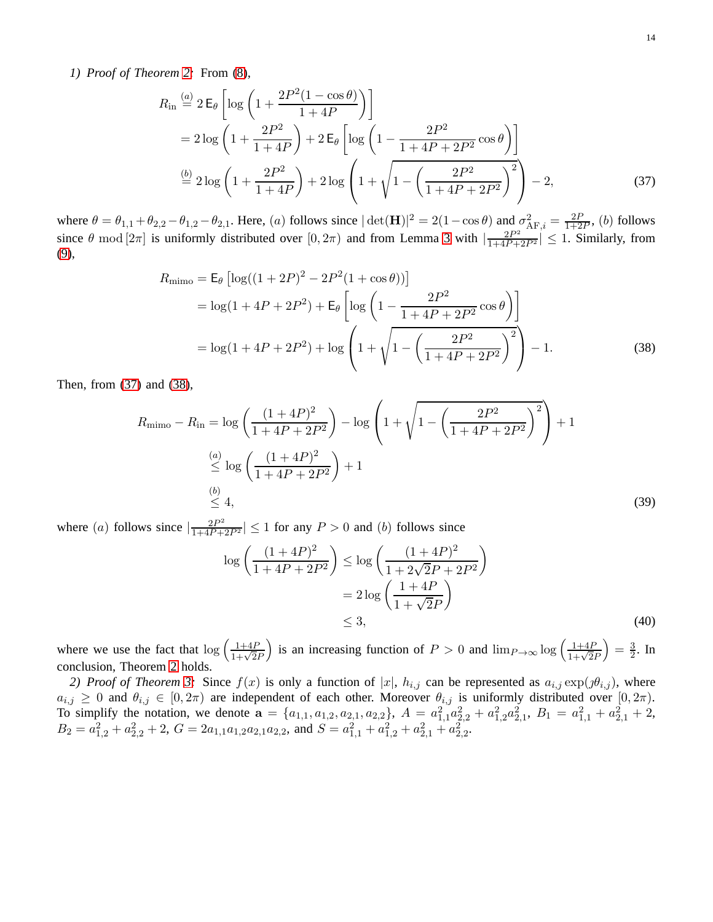*1) Proof of Theorem [2:](#page-5-1)* From [\(8\)](#page-4-3),

<span id="page-13-0"></span>
$$
R_{\rm in} \stackrel{(a)}{=} 2 \,\mathsf{E}_{\theta} \left[ \log \left( 1 + \frac{2P^2 (1 - \cos \theta)}{1 + 4P} \right) \right]
$$
  
=  $2 \log \left( 1 + \frac{2P^2}{1 + 4P} \right) + 2 \,\mathsf{E}_{\theta} \left[ \log \left( 1 - \frac{2P^2}{1 + 4P + 2P^2} \cos \theta \right) \right]$   
 $\stackrel{(b)}{=} 2 \log \left( 1 + \frac{2P^2}{1 + 4P} \right) + 2 \log \left( 1 + \sqrt{1 - \left( \frac{2P^2}{1 + 4P + 2P^2} \right)^2} \right) - 2,$  (37)

where  $\theta = \theta_{1,1} + \theta_{2,2} - \theta_{1,2} - \theta_{2,1}$ . Here, (a) follows since  $|\det(\mathbf{H})|^2 = 2(1 - \cos \theta)$  and  $\sigma_{AF,i}^2 = \frac{2F}{1+2}$  $\frac{2P}{1+2P}$ , (b) follows since  $\theta$  mod  $[2\pi]$  is uniformly distributed over  $[0, 2\pi)$  and from Lemma [3](#page-12-2) with  $\left|\frac{2P^2}{1+4P+2P^2}\right| \leq 1$ . Similarly, from [\(9\)](#page-4-4),

$$
R_{\text{mimo}} = \mathsf{E}_{\theta} \left[ \log((1 + 2P)^2 - 2P^2(1 + \cos \theta)) \right]
$$
  
=  $\log(1 + 4P + 2P^2) + \mathsf{E}_{\theta} \left[ \log \left( 1 - \frac{2P^2}{1 + 4P + 2P^2} \cos \theta \right) \right]$   
=  $\log(1 + 4P + 2P^2) + \log \left( 1 + \sqrt{1 - \left( \frac{2P^2}{1 + 4P + 2P^2} \right)^2} \right) - 1.$  (38)

Then, from [\(37\)](#page-13-0) and [\(38\)](#page-13-1),

$$
R_{\text{mimo}} - R_{\text{in}} = \log \left( \frac{(1+4P)^2}{1+4P+2P^2} \right) - \log \left( 1 + \sqrt{1 - \left( \frac{2P^2}{1+4P+2P^2} \right)^2} \right) + 1
$$
  
\n
$$
\stackrel{(a)}{\leq} \log \left( \frac{(1+4P)^2}{1+4P+2P^2} \right) + 1
$$
  
\n
$$
\stackrel{(b)}{\leq} 4,
$$
\n(39)

where (a) follows since  $\left|\frac{2P^2}{1+4P+2P^2}\right| \le 1$  for any  $P > 0$  and (b) follows since

<span id="page-13-1"></span>
$$
\log\left(\frac{(1+4P)^2}{1+4P+2P^2}\right) \le \log\left(\frac{(1+4P)^2}{1+2\sqrt{2}P+2P^2}\right) \\
= 2\log\left(\frac{1+4P}{1+\sqrt{2}P}\right) \\
\le 3,\n\tag{40}
$$

where we use the fact that  $\log \left( \frac{1+4P}{1+\sqrt{2}P} \right)$ ) is an increasing function of  $P > 0$  and  $\lim_{P \to \infty} \log \left( \frac{1+4P}{1+\sqrt{2}P} \right)$  $=\frac{3}{2}$  $\frac{3}{2}$ . In conclusion, Theorem [2](#page-5-1) holds.

*2) Proof of Theorem [3:](#page-5-2)* Since  $f(x)$  is only a function of  $|x|$ ,  $h_{i,j}$  can be represented as  $a_{i,j} \exp(j\theta_{i,j})$ , where  $a_{i,j} \geq 0$  and  $\theta_{i,j} \in [0, 2\pi)$  are independent of each other. Moreover  $\theta_{i,j}$  is uniformly distributed over  $[0, 2\pi)$ . To simplify the notation, we denote  $\mathbf{a} = \{a_{1,1}, a_{1,2}, a_{2,1}, a_{2,2}\}, A = a_{1,1}^2 a_{2,2}^2 + a_{1,2}^2 a_{2,1}^2, B_1 = a_{1,1}^2 + a_{2,1}^2 + 2,$  $B_2 = a_{1,2}^2 + a_{2,2}^2 + 2$ ,  $G = 2a_{1,1}a_{1,2}a_{2,1}a_{2,2}$ , and  $S = a_{1,1}^2 + a_{1,2}^2 + a_{2,1}^2 + a_{2,2}^2$ .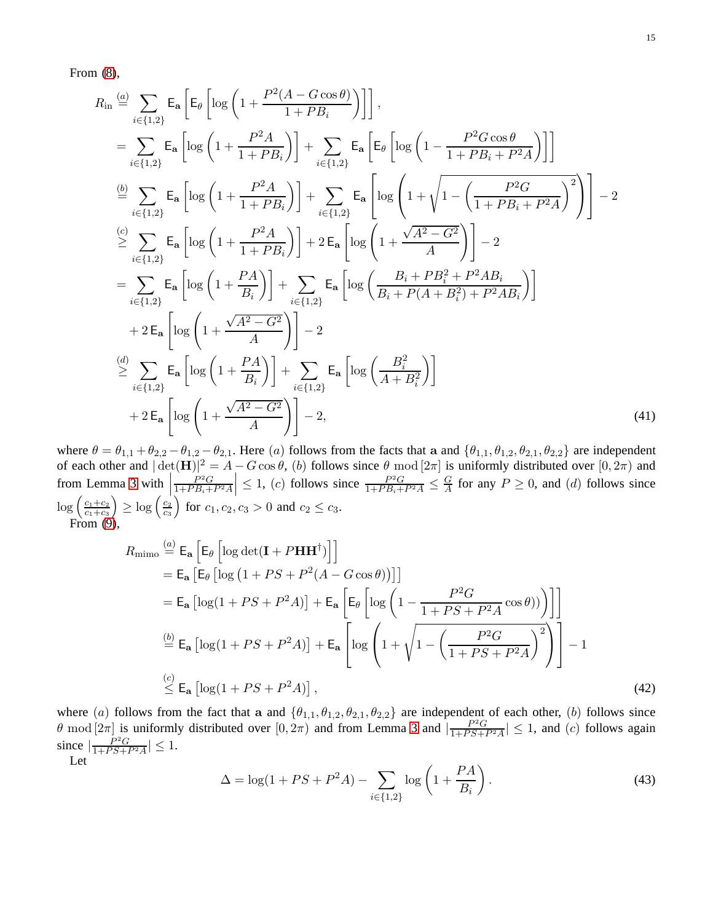From [\(8\)](#page-4-3),

$$
R_{\text{in}} \stackrel{(a)}{=} \sum_{i \in \{1,2\}} \mathsf{E}_{\mathsf{a}} \left[ \mathsf{E}_{\theta} \left[ \log \left( 1 + \frac{P^2 (A - G \cos \theta)}{1 + P B_i} \right) \right] \right],
$$
  
\n
$$
= \sum_{i \in \{1,2\}} \mathsf{E}_{\mathsf{a}} \left[ \log \left( 1 + \frac{P^2 A}{1 + P B_i} \right) \right] + \sum_{i \in \{1,2\}} \mathsf{E}_{\mathsf{a}} \left[ \mathsf{E}_{\theta} \left[ \log \left( 1 - \frac{P^2 G \cos \theta}{1 + P B_i + P^2 A} \right) \right] \right]
$$
  
\n
$$
\stackrel{(b)}{=} \sum_{i \in \{1,2\}} \mathsf{E}_{\mathsf{a}} \left[ \log \left( 1 + \frac{P^2 A}{1 + P B_i} \right) \right] + \sum_{i \in \{1,2\}} \mathsf{E}_{\mathsf{a}} \left[ \log \left( 1 + \sqrt{1 - \left( \frac{P^2 G}{1 + P B_i + P^2 A} \right)^2} \right) \right] - 2
$$
  
\n
$$
\stackrel{(c)}{\geq} \sum_{i \in \{1,2\}} \mathsf{E}_{\mathsf{a}} \left[ \log \left( 1 + \frac{P^2 A}{1 + P B_i} \right) \right] + 2 \mathsf{E}_{\mathsf{a}} \left[ \log \left( 1 + \frac{\sqrt{A^2 - G^2}}{A} \right) \right] - 2
$$
  
\n
$$
= \sum_{i \in \{1,2\}} \mathsf{E}_{\mathsf{a}} \left[ \log \left( 1 + \frac{P A}{B_i} \right) \right] + \sum_{i \in \{1,2\}} \mathsf{E}_{\mathsf{a}} \left[ \log \left( \frac{B_i + P B_i^2 + P^2 A B_i}{B_i + P(A + B_i^2) + P^2 A B_i} \right) \right]
$$
  
\n
$$
+ 2 \mathsf{E}_{\mathsf{a}} \left[ \log \left( 1 + \frac{\sqrt{A^2 - G^2}}{A} \right) \right] - 2
$$
  
\n
$$
\stackrel{(d)}{\geq} \sum_{i \in \{1,
$$

where  $\theta = \theta_{1,1} + \theta_{2,2} - \theta_{1,2} - \theta_{2,1}$ . Here (a) follows from the facts that a and  $\{\theta_{1,1}, \theta_{1,2}, \theta_{2,1}, \theta_{2,2}\}$  are independent of each other and  $|\det(\mathbf{H})|^2 = A - G \cos \theta$ , (b) follows since  $\theta \mod [2\pi]$  is uniformly distributed over  $[0, 2\pi)$  and from Lemma [3](#page-12-2) with  $\vert$  $P^2G$  $\left|\frac{P^2G}{1+PB_i+P^2A}\right| \leq 1$ , (c) follows since  $\frac{P^2G}{1+PB_i+P^2A} \leq \frac{G}{A}$  $\frac{G}{A}$  for any  $P \ge 0$ , and (d) follows since  $\log \left( \frac{c_1+c_2}{c_1+c_2} \right)$  $\frac{c_1+c_2}{c_1+c_3}\Big)\geq \log\Big(\frac{c_2}{c_3}$  $\frac{c_2}{c_3}$  for  $c_1, c_2, c_3 > 0$  and  $c_2 \le c_3$ . From [\(9\)](#page-4-4),

<span id="page-14-0"></span>
$$
R_{\text{mimo}} \stackrel{(a)}{=} \mathsf{E}_{\mathbf{a}} \left[ \mathsf{E}_{\theta} \left[ \log \det(\mathbf{I} + P \mathbf{H} \mathbf{H}^{\dagger}) \right] \right]
$$
  
\n
$$
= \mathsf{E}_{\mathbf{a}} \left[ \mathsf{E}_{\theta} \left[ \log \left( 1 + PS + P^2 (A - G \cos \theta) \right) \right] \right]
$$
  
\n
$$
= \mathsf{E}_{\mathbf{a}} \left[ \log \left( 1 + PS + P^2 A \right) \right] + \mathsf{E}_{\mathbf{a}} \left[ \mathsf{E}_{\theta} \left[ \log \left( 1 - \frac{P^2 G}{1 + PS + P^2 A} \cos \theta \right) \right) \right] \right]
$$
  
\n
$$
\stackrel{(b)}{=} \mathsf{E}_{\mathbf{a}} \left[ \log \left( 1 + PS + P^2 A \right) \right] + \mathsf{E}_{\mathbf{a}} \left[ \log \left( 1 + \sqrt{1 - \left( \frac{P^2 G}{1 + PS + P^2 A} \right)^2} \right) \right] - 1
$$
  
\n
$$
\stackrel{(c)}{\leq} \mathsf{E}_{\mathbf{a}} \left[ \log \left( 1 + PS + P^2 A \right) \right], \tag{42}
$$

where (a) follows from the fact that a and  $\{\theta_{1,1}, \theta_{1,2}, \theta_{2,1}, \theta_{2,2}\}$  are independent of each other, (b) follows since  $\theta$  mod  $[2\pi]$  is uniformly distributed over  $[0, 2\pi)$  and from Lemma [3](#page-12-2) and  $\left[\frac{P^2G}{1+PS+1}\right]$  $\frac{P^2 G}{1+PS+P^2 A} \leq 1$ , and (c) follows again since  $\left| \frac{P^2 G}{1 + PS + 1} \right|$  $\frac{P^2G}{1+PS+P^2A} \leq 1.$ Let

$$
\Delta = \log(1 + PS + P^2 A) - \sum_{i \in \{1, 2\}} \log \left(1 + \frac{PA}{B_i}\right).
$$
\n(43)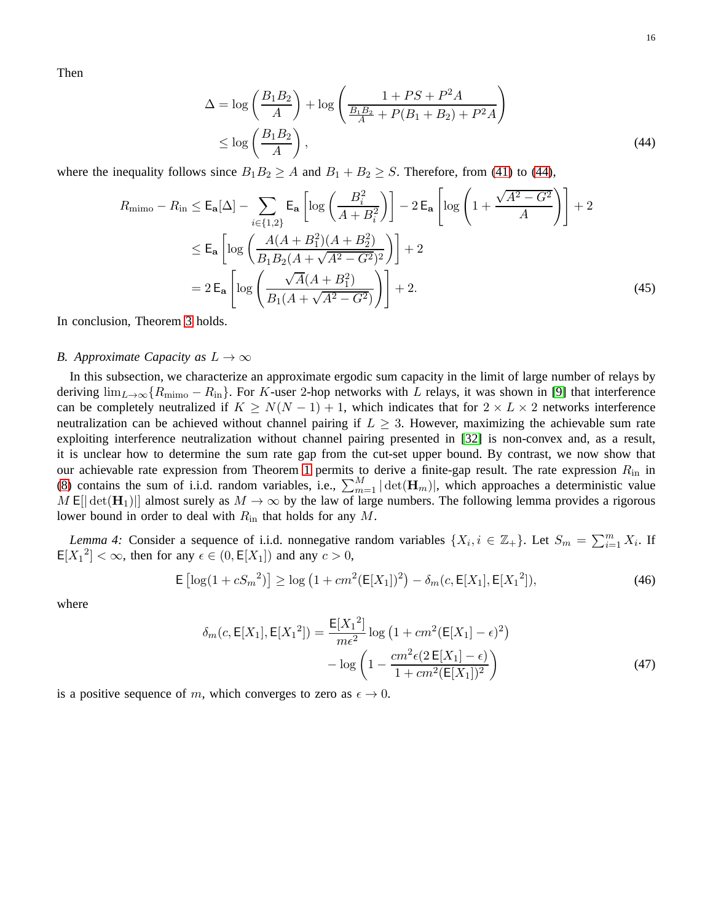Then

<span id="page-15-1"></span>
$$
\Delta = \log\left(\frac{B_1 B_2}{A}\right) + \log\left(\frac{1 + PS + P^2 A}{\frac{B_1 B_2}{A} + P(B_1 + B_2) + P^2 A}\right)
$$
  
\n
$$
\leq \log\left(\frac{B_1 B_2}{A}\right),
$$
\n(44)

where the inequality follows since  $B_1B_2 \ge A$  and  $B_1 + B_2 \ge S$ . Therefore, from [\(41\)](#page-14-0) to [\(44\)](#page-15-1),

$$
R_{\text{mimo}} - R_{\text{in}} \le \mathsf{E}_{\mathbf{a}}[\Delta] - \sum_{i \in \{1, 2\}} \mathsf{E}_{\mathbf{a}} \left[ \log \left( \frac{B_i^2}{A + B_i^2} \right) \right] - 2 \mathsf{E}_{\mathbf{a}} \left[ \log \left( 1 + \frac{\sqrt{A^2 - G^2}}{A} \right) \right] + 2
$$
  
\n
$$
\le \mathsf{E}_{\mathbf{a}} \left[ \log \left( \frac{A(A + B_1^2)(A + B_2^2)}{B_1 B_2 (A + \sqrt{A^2 - G^2})^2} \right) \right] + 2
$$
  
\n
$$
= 2 \mathsf{E}_{\mathbf{a}} \left[ \log \left( \frac{\sqrt{A} (A + B_1^2)}{B_1 (A + \sqrt{A^2 - G^2})} \right) \right] + 2.
$$
 (45)

In conclusion, Theorem [3](#page-5-2) holds.

# <span id="page-15-0"></span>*B. Approximate Capacity as*  $L \rightarrow \infty$

In this subsection, we characterize an approximate ergodic sum capacity in the limit of large number of relays by deriving  $\lim_{L\to\infty}$  { $R_{\text{mimo}} - R_{\text{in}}$ }. For K-user 2-hop networks with L relays, it was shown in [\[9\]](#page-21-2) that interference can be completely neutralized if  $K \ge N(N-1) + 1$ , which indicates that for  $2 \times L \times 2$  networks interference neutralization can be achieved without channel pairing if  $L \geq 3$ . However, maximizing the achievable sum rate exploiting interference neutralization without channel pairing presented in [\[32\]](#page-21-17) is non-convex and, as a result, it is unclear how to determine the sum rate gap from the cut-set upper bound. By contrast, we now show that our achievable rate expression from Theorem [1](#page-4-1) permits to derive a finite-gap result. The rate expression  $R_{\text{in}}$  in [\(8\)](#page-4-3) contains the sum of i.i.d. random variables, i.e.,  $\sum_{m=1}^{M} |\det(\mathbf{H}_m)|$ , which approaches a deterministic value M E[ $|\det(\mathbf{H}_1)|$ ] almost surely as  $M \to \infty$  by the law of large numbers. The following lemma provides a rigorous lower bound in order to deal with  $R_{\rm in}$  that holds for any  $M$ .

<span id="page-15-2"></span>*Lemma 4:* Consider a sequence of i.i.d. nonnegative random variables  $\{X_i, i \in \mathbb{Z}_+\}$ . Let  $S_m = \sum_{i=1}^m X_i$ . If  $E[X_1^2] < \infty$ , then for any  $\epsilon \in (0, E[X_1])$  and any  $c > 0$ ,

$$
\mathsf{E}\left[\log(1 + cS_m^2)\right] \ge \log\left(1 + cm^2(\mathsf{E}[X_1])^2\right) - \delta_m(c, \mathsf{E}[X_1], \mathsf{E}[X_1^2]),\tag{46}
$$

where

$$
\delta_m(c, \mathsf{E}[X_1], \mathsf{E}[X_1^2]) = \frac{\mathsf{E}[X_1^2]}{m\epsilon^2} \log \left( 1 + cm^2 (\mathsf{E}[X_1] - \epsilon)^2 \right) - \log \left( 1 - \frac{cm^2 \epsilon (2 \mathsf{E}[X_1] - \epsilon)}{1 + cm^2 (\mathsf{E}[X_1])^2} \right)
$$
(47)

is a positive sequence of m, which converges to zero as  $\epsilon \to 0$ .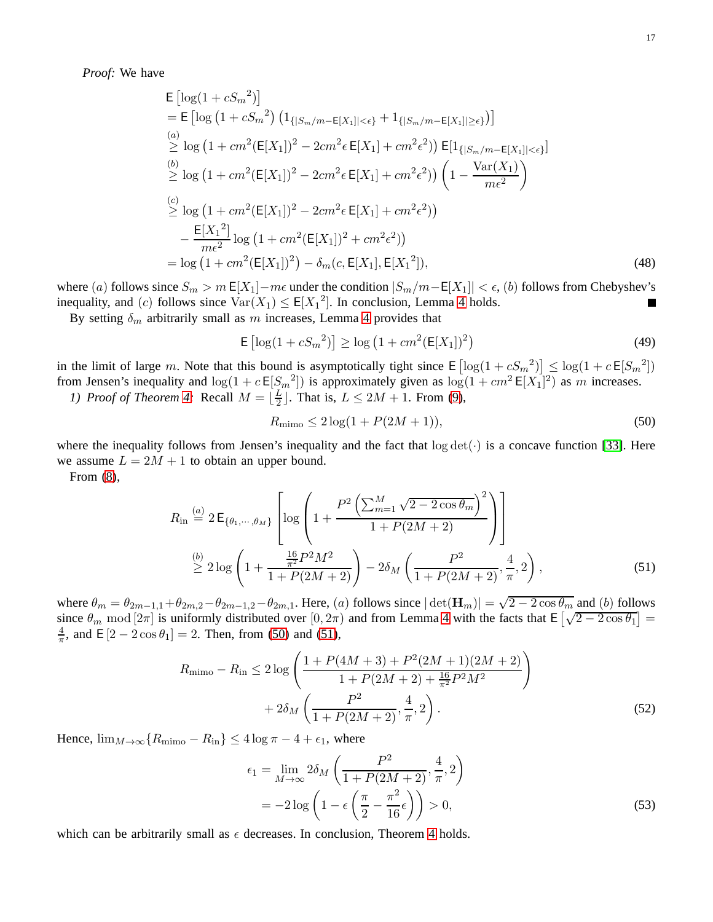*Proof:* We have

$$
\begin{split}\n& \mathsf{E}\left[\log(1+{cS_m}^2)\right] \\
&= \mathsf{E}\left[\log\left(1+{cS_m}^2\right)\left(1_{\{|S_m/m-\mathsf{E}[X_1]|<\epsilon\}}+1_{\{|S_m/m-\mathsf{E}[X_1]|<\epsilon\}}\right)\right] \\
& \stackrel{(a)}{\geq} \log\left(1+{cm^2(\mathsf{E}[X_1])^2-2cm^2\epsilon\,\mathsf{E}[X_1]+cm^2\epsilon^2)}\right)\,\mathsf{E}[1_{\{|S_m/m-\mathsf{E}[X_1]|<\epsilon\}}] \\
& \stackrel{(b)}{\geq} \log\left(1+{cm^2(\mathsf{E}[X_1])^2-2cm^2\epsilon\,\mathsf{E}[X_1]+cm^2\epsilon^2)}\right)\left(1-\frac{\text{Var}(X_1)}{me^2}\right) \\
& \stackrel{(c)}{\geq} \log\left(1+{cm^2(\mathsf{E}[X_1])^2-2cm^2\epsilon\,\mathsf{E}[X_1]+cm^2\epsilon^2)}\right) \\
&- \frac{\mathsf{E}[X_1^2]}{me^2}\log\left(1+{cm^2(\mathsf{E}[X_1])^2+cm^2\epsilon^2}\right) \\
&= \log\left(1+{cm^2(\mathsf{E}[X_1])^2}\right)-\delta_m(c,\mathsf{E}[X_1],\mathsf{E}[X_1^2]),\n\end{split} \tag{48}
$$

where (a) follows since  $S_m > m \mathbb{E}[X_1]-m\epsilon$  under the condition  $|S_m/m-\mathbb{E}[X_1]| < \epsilon$ , (b) follows from Chebyshev's inequality, and (c) follows since  $\text{Var}(X_1) \leq \mathbb{E}[X_1^2]$ . In conclusion, Lemma [4](#page-15-2) holds.

By setting  $\delta_m$  arbitrarily small as m increases, Lemma [4](#page-15-2) provides that

$$
E\left[\log(1 + cS_m^2)\right] \ge \log\left(1 + cm^2 (E[X_1])^2\right) \tag{49}
$$

in the limit of large m. Note that this bound is asymptotically tight since  $E\left[log(1 + cS_m^2)\right] \leq log(1 + cE[S_m^2])$ from Jensen's inequality and  $\log(1 + c \mathsf{E}[S_m^2])$  is approximately given as  $\log(1 + cm^2 \mathsf{E}[X_1]^2)$  as m increases. *1) Proof of Theorem [4:](#page-7-1)* Recall  $M = \lfloor \frac{L}{2} \rfloor$  $\frac{L}{2}$ . That is,  $L \le 2M + 1$ . From [\(9\)](#page-4-4),

<span id="page-16-1"></span><span id="page-16-0"></span>
$$
R_{\text{mimo}} \le 2\log(1 + P(2M + 1)),\tag{50}
$$

where the inequality follows from Jensen's inequality and the fact that  $log \det(\cdot)$  is a concave function [\[33\]](#page-21-18). Here we assume  $L = 2M + 1$  to obtain an upper bound.

From [\(8\)](#page-4-3),

$$
R_{\rm in} \stackrel{(a)}{=} 2 \,\mathsf{E}_{\{\theta_1,\cdots,\theta_M\}} \left[ \log \left( 1 + \frac{P^2 \left( \sum_{m=1}^M \sqrt{2 - 2 \cos \theta_m} \right)^2}{1 + P(2M + 2)} \right) \right]
$$
\n
$$
\stackrel{(b)}{\geq} 2 \log \left( 1 + \frac{\frac{16}{\pi^2} P^2 M^2}{1 + P(2M + 2)} \right) - 2 \delta_M \left( \frac{P^2}{1 + P(2M + 2)}, \frac{4}{\pi}, 2 \right), \tag{51}
$$

where  $\theta_m = \theta_{2m-1,1} + \theta_{2m,2} - \theta_{2m-1,2} - \theta_{2m,1}$ . Here, (a) follows since  $|\det(\mathbf{H}_m)| = \sqrt{2 - 2\cos\theta_m}$  and (b) follows since  $\theta_m$  mod  $[2\pi]$  is uniformly distributed over  $[0, 2\pi)$  and from Lemma [4](#page-15-2) with the facts that  $E\left[\sqrt{2-2\cos\theta_1}\right] =$ 4  $\frac{4}{\pi}$ , and E  $[2 - 2\cos\theta_1] = 2$ . Then, from [\(50\)](#page-16-0) and [\(51\)](#page-16-1),

$$
R_{\text{mimo}} - R_{\text{in}} \le 2 \log \left( \frac{1 + P(4M + 3) + P^2(2M + 1)(2M + 2)}{1 + P(2M + 2) + \frac{16}{\pi^2} P^2 M^2} \right) + 2 \delta_M \left( \frac{P^2}{1 + P(2M + 2)}, \frac{4}{\pi}, 2 \right).
$$
\n(52)

Hence,  $\lim_{M\to\infty}$  { $R_{\text{mimo}} - R_{\text{in}}$ }  $\leq 4 \log \pi - 4 + \epsilon_1$ , where

$$
\epsilon_1 = \lim_{M \to \infty} 2\delta_M \left( \frac{P^2}{1 + P(2M + 2)}, \frac{4}{\pi}, 2 \right)
$$

$$
= -2\log\left(1 - \epsilon \left(\frac{\pi}{2} - \frac{\pi^2}{16}\epsilon\right)\right) > 0,
$$
(53)

which can be arbitrarily small as  $\epsilon$  decreases. In conclusion, Theorem [4](#page-7-1) holds.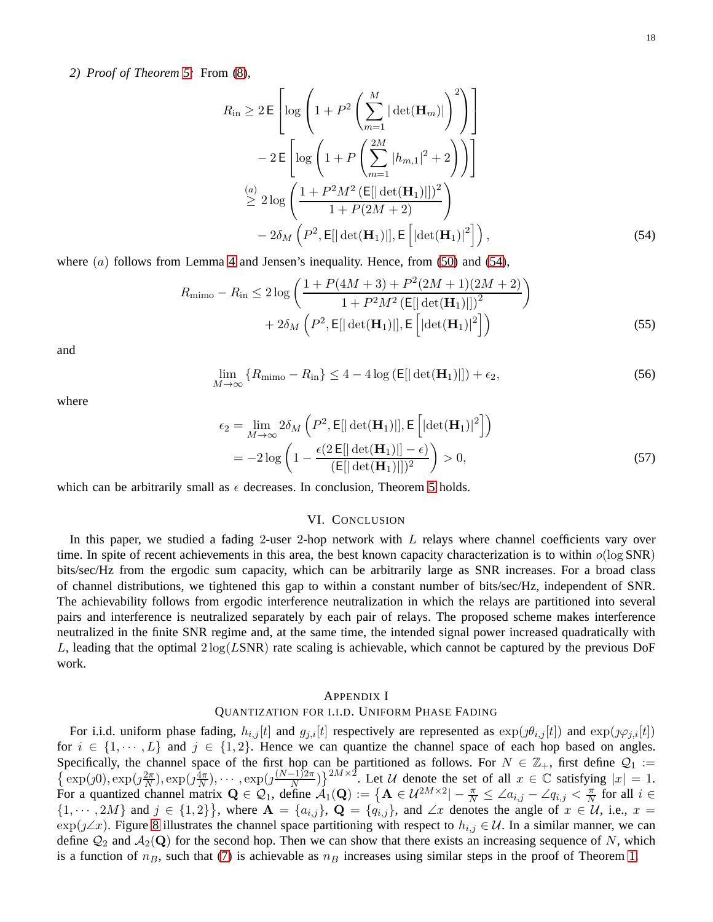*2) Proof of Theorem [5:](#page-7-2)* From [\(8\)](#page-4-3),

<span id="page-17-1"></span>
$$
R_{\rm in} \ge 2 \,\mathsf{E} \left[ \log \left( 1 + P^2 \left( \sum_{m=1}^M |\det(\mathbf{H}_m)| \right)^2 \right) \right]
$$
  
- 2 \,\mathsf{E} \left[ \log \left( 1 + P \left( \sum\_{m=1}^{2M} |h\_{m,1}|^2 + 2 \right) \right) \right]  

$$
\stackrel{(a)}{\ge 2} \log \left( \frac{1 + P^2 M^2 \left( \mathsf{E}[\left| \det(\mathbf{H}_1) \right|] \right)^2}{1 + P(2M + 2)} \right)
$$
  
- 2 \delta\_M \left( P^2, \mathsf{E}[\left| \det(\mathbf{H}\_1) \right|], \mathsf{E} \left[ \left| \det(\mathbf{H}\_1) \right|^2 \right] \right), \tag{54}

where  $(a)$  follows from Lemma [4](#page-15-2) and Jensen's inequality. Hence, from [\(50\)](#page-16-0) and [\(54\)](#page-17-1),

$$
R_{\text{mimo}} - R_{\text{in}} \le 2 \log \left( \frac{1 + P(4M + 3) + P^2(2M + 1)(2M + 2)}{1 + P^2 M^2 \left( \mathbb{E}[\left| \det(\mathbf{H}_1) \right|] \right)^2} \right) + 2 \delta_M \left( P^2, \mathbb{E}[\left| \det(\mathbf{H}_1) \right|, \mathbb{E} \left[ \left| \det(\mathbf{H}_1) \right|^2 \right] \right) \tag{55}
$$

and

$$
\lim_{M \to \infty} \{ R_{\text{mimo}} - R_{\text{in}} \} \le 4 - 4 \log \left( \mathbb{E} [|\det(\mathbf{H}_1)|] \right) + \epsilon_2,
$$
\n(56)

where

$$
\epsilon_2 = \lim_{M \to \infty} 2\delta_M \left( P^2, \mathsf{E}[\left| \det(\mathbf{H}_1) \right|], \mathsf{E}\left[ \left| \det(\mathbf{H}_1) \right|^2 \right] \right)
$$
  
=  $-2 \log \left( 1 - \frac{\epsilon (2 \mathsf{E}[\left| \det(\mathbf{H}_1) \right|] - \epsilon)}{(\mathsf{E}[\left| \det(\mathbf{H}_1) \right|])^2} \right) > 0,$  (57)

<span id="page-17-0"></span>which can be arbitrarily small as  $\epsilon$  decreases. In conclusion, Theorem [5](#page-7-2) holds.

# VI. CONCLUSION

In this paper, we studied a fading 2-user 2-hop network with L relays where channel coefficients vary over time. In spite of recent achievements in this area, the best known capacity characterization is to within  $o(\log SNR)$ bits/sec/Hz from the ergodic sum capacity, which can be arbitrarily large as SNR increases. For a broad class of channel distributions, we tightened this gap to within a constant number of bits/sec/Hz, independent of SNR. The achievability follows from ergodic interference neutralization in which the relays are partitioned into several pairs and interference is neutralized separately by each pair of relays. The proposed scheme makes interference neutralized in the finite SNR regime and, at the same time, the intended signal power increased quadratically with L, leading that the optimal  $2 \log(LSNR)$  rate scaling is achievable, which cannot be captured by the previous DoF work.

#### APPENDIX I

# QUANTIZATION FOR I.I.D. UNIFORM PHASE FADING

For i.i.d. uniform phase fading,  $h_{i,j}[t]$  and  $g_{j,i}[t]$  respectively are represented as  $\exp(j\theta_{i,j}[t])$  and  $\exp(j\varphi_{j,i}[t])$ for  $i \in \{1, \dots, L\}$  and  $j \in \{1, 2\}$ . Hence we can quantize the channel space of each hop based on angles. Specifically, the channel space of the first hop can be partitioned as follows. For  $N \in \mathbb{Z}_+$ , first define  $\mathcal{Q}_1 :=$  $\left\{\exp(j0), \exp(j\frac{2\pi}{N}\right\}$  $\frac{2\pi}{N}$ ),  $\exp\left(j\frac{4\pi}{N}\right)$  $\left(\frac{\ln x}{N}\right), \cdots, \exp\left(j\frac{(N-1)2\pi}{N}\right)\right\}^{2M\times 2}$ . Let U denote the set of all  $x \in \mathbb{C}$  satisfying  $|x| = 1$ . For a quantized channel matrix  $\mathbf{Q} \in \mathcal{Q}_1$ , define  $\mathcal{A}_1(\mathbf{Q}) := \{ \mathbf{A} \in \mathcal{U}^{2M \times 2} | -\frac{\pi}{N} \leq \angle a_{i,j} - \angle q_{i,j} < \frac{\pi}{N} \}$  $\frac{\pi}{N}$  for all  $i \in$  $\{1, \dots, 2M\}$  and  $j \in \{1,2\}\}\,$ , where  $\mathbf{A} = \{a_{i,j}\}\,$ ,  $\mathbf{Q} = \{\hat{q}_{i,j}\}\,$ , and  $\angle x$  denotes the angle of  $x \in \mathcal{U}$ , i.e.,  $x =$  $\exp(j\angle x)$ . Figure [8](#page-18-0) illustrates the channel space partitioning with respect to  $h_{i,j} \in \mathcal{U}$ . In a similar manner, we can define  $\mathcal{Q}_2$  and  $\mathcal{A}_2(\mathbf{Q})$  for the second hop. Then we can show that there exists an increasing sequence of N, which is a function of  $n_B$ , such that [\(7\)](#page-4-0) is achievable as  $n_B$  increases using similar steps in the proof of Theorem [1.](#page-4-1)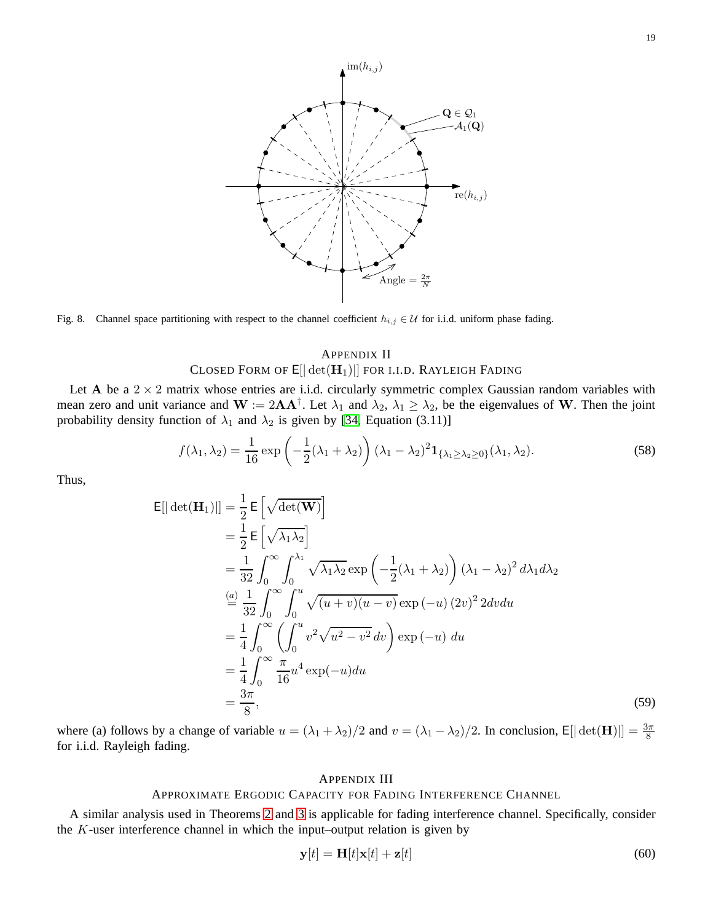

<span id="page-18-0"></span>Fig. 8. Channel space partitioning with respect to the channel coefficient  $h_{i,j} \in \mathcal{U}$  for i.i.d. uniform phase fading.

# APPENDIX II CLOSED FORM OF  $E[|\det(\mathbf{H}_1)|]$  for i.i.d. Rayleigh Fading

Let A be a  $2 \times 2$  matrix whose entries are i.i.d. circularly symmetric complex Gaussian random variables with mean zero and unit variance and  $W := 2AA^{\dagger}$ . Let  $\lambda_1$  and  $\lambda_2$ ,  $\lambda_1 \geq \lambda_2$ , be the eigenvalues of W. Then the joint probability density function of  $\lambda_1$  and  $\lambda_2$  is given by [\[34,](#page-21-19) Equation (3.11)]

$$
f(\lambda_1, \lambda_2) = \frac{1}{16} \exp\left(-\frac{1}{2}(\lambda_1 + \lambda_2)\right) (\lambda_1 - \lambda_2)^2 \mathbf{1}_{\{\lambda_1 \geq \lambda_2 \geq 0\}}(\lambda_1, \lambda_2).
$$
 (58)

Thus,

$$
\begin{split}\n\mathsf{E}[|\det(\mathbf{H}_{1})|] &= \frac{1}{2} \mathsf{E} \left[ \sqrt{\det(\mathbf{W})} \right] \\
&= \frac{1}{2} \mathsf{E} \left[ \sqrt{\lambda_{1} \lambda_{2}} \right] \\
&= \frac{1}{32} \int_{0}^{\infty} \int_{0}^{\lambda_{1}} \sqrt{\lambda_{1} \lambda_{2}} \exp \left( -\frac{1}{2} (\lambda_{1} + \lambda_{2}) \right) (\lambda_{1} - \lambda_{2})^{2} d\lambda_{1} d\lambda_{2} \\
&\stackrel{(a)}{=} \frac{1}{32} \int_{0}^{\infty} \int_{0}^{u} \sqrt{(u+v)(u-v)} \exp (-u) (2v)^{2} 2dv du \\
&= \frac{1}{4} \int_{0}^{\infty} \left( \int_{0}^{u} v^{2} \sqrt{u^{2} - v^{2}} dv \right) \exp (-u) du \\
&= \frac{1}{4} \int_{0}^{\infty} \frac{\pi}{16} u^{4} \exp(-u) du \\
&= \frac{3\pi}{8},\n\end{split}
$$
\n(59)

where (a) follows by a change of variable  $u = (\lambda_1 + \lambda_2)/2$  and  $v = (\lambda_1 - \lambda_2)/2$ . In conclusion,  $E[|\det(\mathbf{H})|] = \frac{3\pi}{8}$ for i.i.d. Rayleigh fading.

# APPENDIX III

# APPROXIMATE ERGODIC CAPACITY FOR FADING INTERFERENCE CHANNEL

A similar analysis used in Theorems [2](#page-5-1) and [3](#page-5-2) is applicable for fading interference channel. Specifically, consider the K-user interference channel in which the input–output relation is given by

$$
\mathbf{y}[t] = \mathbf{H}[t]\mathbf{x}[t] + \mathbf{z}[t] \tag{60}
$$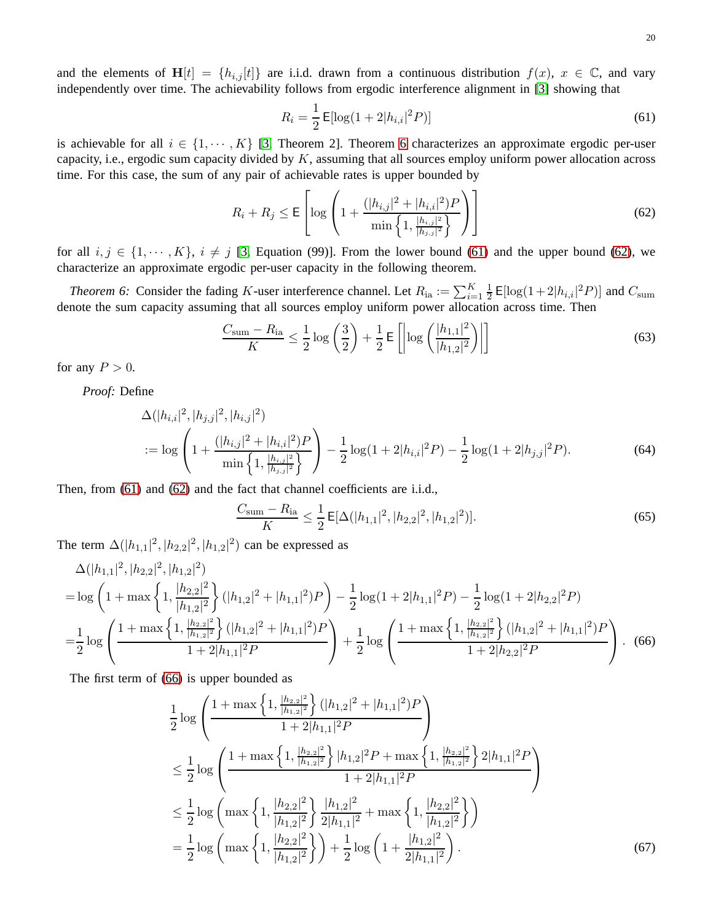and the elements of  $H[t] = \{h_{i,j}[t]\}$  are i.i.d. drawn from a continuous distribution  $f(x)$ ,  $x \in \mathbb{C}$ , and vary independently over time. The achievability follows from ergodic interference alignment in [\[3\]](#page-20-1) showing that

<span id="page-19-2"></span><span id="page-19-1"></span>
$$
R_i = \frac{1}{2} \mathsf{E}[\log(1 + 2|h_{i,i}|^2 P)] \tag{61}
$$

is achievable for all  $i \in \{1, \dots, K\}$  [\[3,](#page-20-1) Theorem 2]. Theorem [6](#page-19-0) characterizes an approximate ergodic per-user capacity, i.e., ergodic sum capacity divided by  $K$ , assuming that all sources employ uniform power allocation across time. For this case, the sum of any pair of achievable rates is upper bounded by

$$
R_i + R_j \le \mathsf{E}\left[\log\left(1 + \frac{(|h_{i,j}|^2 + |h_{i,i}|^2)P}{\min\left\{1, \frac{|h_{i,j}|^2}{|h_{j,j}|^2}\right\}}\right)\right]
$$
(62)

for all  $i, j \in \{1, \dots, K\}$ ,  $i \neq j$  [\[3,](#page-20-1) Equation (99)]. From the lower bound [\(61\)](#page-19-1) and the upper bound [\(62\)](#page-19-2), we characterize an approximate ergodic per-user capacity in the following theorem.

<span id="page-19-0"></span>*Theorem 6:* Consider the fading K-user interference channel. Let  $R_{ia} := \sum_{i=1}^{K} \frac{1}{2}$  $\frac{1}{2}$  E[log(1+2| $h_{i,i}$ |<sup>2</sup> $P$ )] and  $C_{\text{sum}}$ denote the sum capacity assuming that all sources employ uniform power allocation across time. Then

<span id="page-19-5"></span>
$$
\frac{C_{\text{sum}} - R_{\text{ia}}}{K} \le \frac{1}{2} \log \left( \frac{3}{2} \right) + \frac{1}{2} \mathsf{E} \left[ \left| \log \left( \frac{|h_{1,1}|^2}{|h_{1,2}|^2} \right) \right| \right] \tag{63}
$$

for any  $P > 0$ .

*Proof:* Define

$$
\Delta(|h_{i,i}|^2, |h_{j,j}|^2, |h_{i,j}|^2)
$$
  
:= 
$$
\log \left( 1 + \frac{(|h_{i,j}|^2 + |h_{i,i}|^2)P}{\min\left\{1, \frac{|h_{i,j}|^2}{|h_{j,j}|^2}\right\}} \right) - \frac{1}{2} \log(1 + 2|h_{i,i}|^2 P) - \frac{1}{2} \log(1 + 2|h_{j,j}|^2 P).
$$
 (64)

Then, from [\(61\)](#page-19-1) and [\(62\)](#page-19-2) and the fact that channel coefficients are i.i.d.,

<span id="page-19-4"></span><span id="page-19-3"></span>
$$
\frac{C_{\text{sum}} - R_{\text{ia}}}{K} \le \frac{1}{2} \mathsf{E}[\Delta(|h_{1,1}|^2, |h_{2,2}|^2, |h_{1,2}|^2)].\tag{65}
$$

The term  $\Delta(|h_{1,1}|^2, |h_{2,2}|^2, |h_{1,2}|^2)$  can be expressed as

$$
\Delta(|h_{1,1}|^2, |h_{2,2}|^2, |h_{1,2}|^2)
$$
\n
$$
= \log\left(1 + \max\left\{1, \frac{|h_{2,2}|^2}{|h_{1,2}|^2}\right\} (|h_{1,2}|^2 + |h_{1,1}|^2)P\right) - \frac{1}{2}\log(1 + 2|h_{1,1}|^2P) - \frac{1}{2}\log(1 + 2|h_{2,2}|^2P)
$$
\n
$$
= \frac{1}{2}\log\left(\frac{1 + \max\left\{1, \frac{|h_{2,2}|^2}{|h_{1,2}|^2}\right\} (|h_{1,2}|^2 + |h_{1,1}|^2)P}{1 + 2|h_{1,1}|^2P}\right) + \frac{1}{2}\log\left(\frac{1 + \max\left\{1, \frac{|h_{2,2}|^2}{|h_{1,2}|^2}\right\} (|h_{1,2}|^2 + |h_{1,1}|^2)P}{1 + 2|h_{2,2}|^2P}\right). \quad (66)
$$

The first term of [\(66\)](#page-19-3) is upper bounded as

$$
\frac{1}{2}\log\left(\frac{1+\max\left\{1,\frac{|h_{2,2}|^2}{|h_{1,2}|^2}\right\}(|h_{1,2}|^2+|h_{1,1}|^2)P}{1+2|h_{1,1}|^2P}\right) \n\leq \frac{1}{2}\log\left(\frac{1+\max\left\{1,\frac{|h_{2,2}|^2}{|h_{1,2}|^2}\right\}|h_{1,2}|^2P+\max\left\{1,\frac{|h_{2,2}|^2}{|h_{1,2}|^2}\right\}2|h_{1,1}|^2P}{1+2|h_{1,1}|^2P}\right) \n\leq \frac{1}{2}\log\left(\max\left\{1,\frac{|h_{2,2}|^2}{|h_{1,2}|^2}\right\}\frac{|h_{1,2}|^2}{2|h_{1,1}|^2}+\max\left\{1,\frac{|h_{2,2}|^2}{|h_{1,2}|^2}\right\}\right) \n= \frac{1}{2}\log\left(\max\left\{1,\frac{|h_{2,2}|^2}{|h_{1,2}|^2}\right\}\right) + \frac{1}{2}\log\left(1+\frac{|h_{1,2}|^2}{2|h_{1,1}|^2}\right).
$$
\n(67)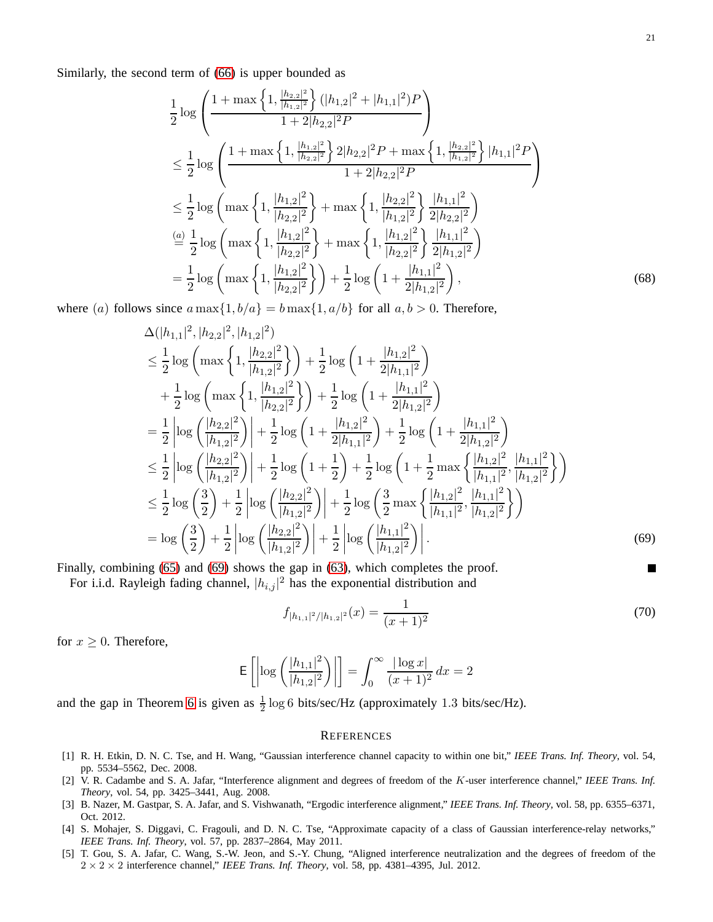Similarly, the second term of [\(66\)](#page-19-3) is upper bounded as

$$
\frac{1}{2}\log\left(\frac{1+\max\left\{1,\frac{|h_{2,2}|^2}{|h_{1,2}|^2}\right\}(|h_{1,2}|^2+|h_{1,1}|^2)P}{1+2|h_{2,2}|^2P}\right) \n\leq \frac{1}{2}\log\left(\frac{1+\max\left\{1,\frac{|h_{1,2}|^2}{|h_{2,2}|^2}\right\}2|h_{2,2}|^2P+\max\left\{1,\frac{|h_{2,2}|^2}{|h_{1,2}|^2}\right\}|h_{1,1}|^2P}{1+2|h_{2,2}|^2P}\right) \n\leq \frac{1}{2}\log\left(\max\left\{1,\frac{|h_{1,2}|^2}{|h_{2,2}|^2}\right\}+\max\left\{1,\frac{|h_{2,2}|^2}{|h_{1,2}|^2}\right\}\frac{|h_{1,1}|^2}{2|h_{2,2}|^2}\right) \n\stackrel{(a)}{=} \frac{1}{2}\log\left(\max\left\{1,\frac{|h_{1,2}|^2}{|h_{2,2}|^2}\right\}+\max\left\{1,\frac{|h_{1,2}|^2}{|h_{2,2}|^2}\right\}\frac{|h_{1,1}|^2}{2|h_{1,2}|^2}\right) \n= \frac{1}{2}\log\left(\max\left\{1,\frac{|h_{1,2}|^2}{|h_{2,2}|^2}\right\}\right) + \frac{1}{2}\log\left(1+\frac{|h_{1,1}|^2}{2|h_{1,2}|^2}\right),
$$
\n(68)

where (a) follows since  $a \max\{1, b/a\} = b \max\{1, a/b\}$  for all  $a, b > 0$ . Therefore,

$$
\Delta(|h_{1,1}|^2, |h_{2,2}|^2, |h_{1,2}|^2)
$$
\n
$$
\leq \frac{1}{2} \log \left( \max \left\{ 1, \frac{|h_{2,2}|^2}{|h_{1,2}|^2} \right\} \right) + \frac{1}{2} \log \left( 1 + \frac{|h_{1,2}|^2}{2|h_{1,1}|^2} \right)
$$
\n
$$
+ \frac{1}{2} \log \left( \max \left\{ 1, \frac{|h_{1,2}|^2}{|h_{2,2}|^2} \right\} \right) + \frac{1}{2} \log \left( 1 + \frac{|h_{1,1}|^2}{2|h_{1,2}|^2} \right)
$$
\n
$$
= \frac{1}{2} \left| \log \left( \frac{|h_{2,2}|^2}{|h_{1,2}|^2} \right) \right| + \frac{1}{2} \log \left( 1 + \frac{|h_{1,2}|^2}{2|h_{1,1}|^2} \right) + \frac{1}{2} \log \left( 1 + \frac{|h_{1,1}|^2}{2|h_{1,2}|^2} \right)
$$
\n
$$
\leq \frac{1}{2} \left| \log \left( \frac{|h_{2,2}|^2}{|h_{1,2}|^2} \right) \right| + \frac{1}{2} \log \left( 1 + \frac{1}{2} \right) + \frac{1}{2} \log \left( 1 + \frac{1}{2} \max \left\{ \frac{|h_{1,2}|^2}{|h_{1,1}|^2}, \frac{|h_{1,1}|^2}{|h_{1,2}|^2} \right\} \right)
$$
\n
$$
\leq \frac{1}{2} \log \left( \frac{3}{2} \right) + \frac{1}{2} \left| \log \left( \frac{|h_{2,2}|^2}{|h_{1,2}|^2} \right) \right| + \frac{1}{2} \log \left( \frac{3}{2} \max \left\{ \frac{|h_{1,2}|^2}{|h_{1,1}|^2}, \frac{|h_{1,1}|^2}{|h_{1,2}|^2} \right\} \right)
$$
\n
$$
= \log \left( \frac{3}{2} \right) + \frac{1}{2} \left| \log \left( \frac{|h_{2,2}|^2}{|h_{1,2}|^2} \right) \right| + \frac{1}{2
$$

Finally, combining [\(65\)](#page-19-4) and [\(69\)](#page-20-5) shows the gap in [\(63\)](#page-19-5), which completes the proof.

For i.i.d. Rayleigh fading channel,  $|h_{i,j}|^2$  has the exponential distribution and

<span id="page-20-5"></span>
$$
f_{|h_{1,1}|^2/|h_{1,2}|^2}(x) = \frac{1}{(x+1)^2}
$$
\n(70)

for  $x \geq 0$ . Therefore,

$$
\mathsf{E}\left[\left|\log\left(\frac{|h_{1,1}|^2}{|h_{1,2}|^2}\right)\right|\right] = \int_0^\infty \frac{|\log x|}{(x+1)^2} \, dx = 2
$$

and the gap in Theorem [6](#page-19-0) is given as  $\frac{1}{2} \log 6$  bits/sec/Hz (approximately 1.3 bits/sec/Hz).

# **REFERENCES**

- <span id="page-20-0"></span>[1] R. H. Etkin, D. N. C. Tse, and H. Wang, "Gaussian interference channel capacity to within one bit," *IEEE Trans. Inf. Theory*, vol. 54, pp. 5534–5562, Dec. 2008.
- <span id="page-20-4"></span>[2] V. R. Cadambe and S. A. Jafar, "Interference alignment and degrees of freedom of the K-user interference channel," *IEEE Trans. Inf. Theory*, vol. 54, pp. 3425–3441, Aug. 2008.
- <span id="page-20-1"></span>[3] B. Nazer, M. Gastpar, S. A. Jafar, and S. Vishwanath, "Ergodic interference alignment," *IEEE Trans. Inf. Theory*, vol. 58, pp. 6355–6371, Oct. 2012.
- <span id="page-20-2"></span>[4] S. Mohajer, S. Diggavi, C. Fragouli, and D. N. C. Tse, "Approximate capacity of a class of Gaussian interference-relay networks," *IEEE Trans. Inf. Theory*, vol. 57, pp. 2837–2864, May 2011.
- <span id="page-20-3"></span>[5] T. Gou, S. A. Jafar, C. Wang, S.-W. Jeon, and S.-Y. Chung, "Aligned interference neutralization and the degrees of freedom of the  $2 \times 2 \times 2$  interference channel," *IEEE Trans. Inf. Theory*, vol. 58, pp. 4381-4395, Jul. 2012.